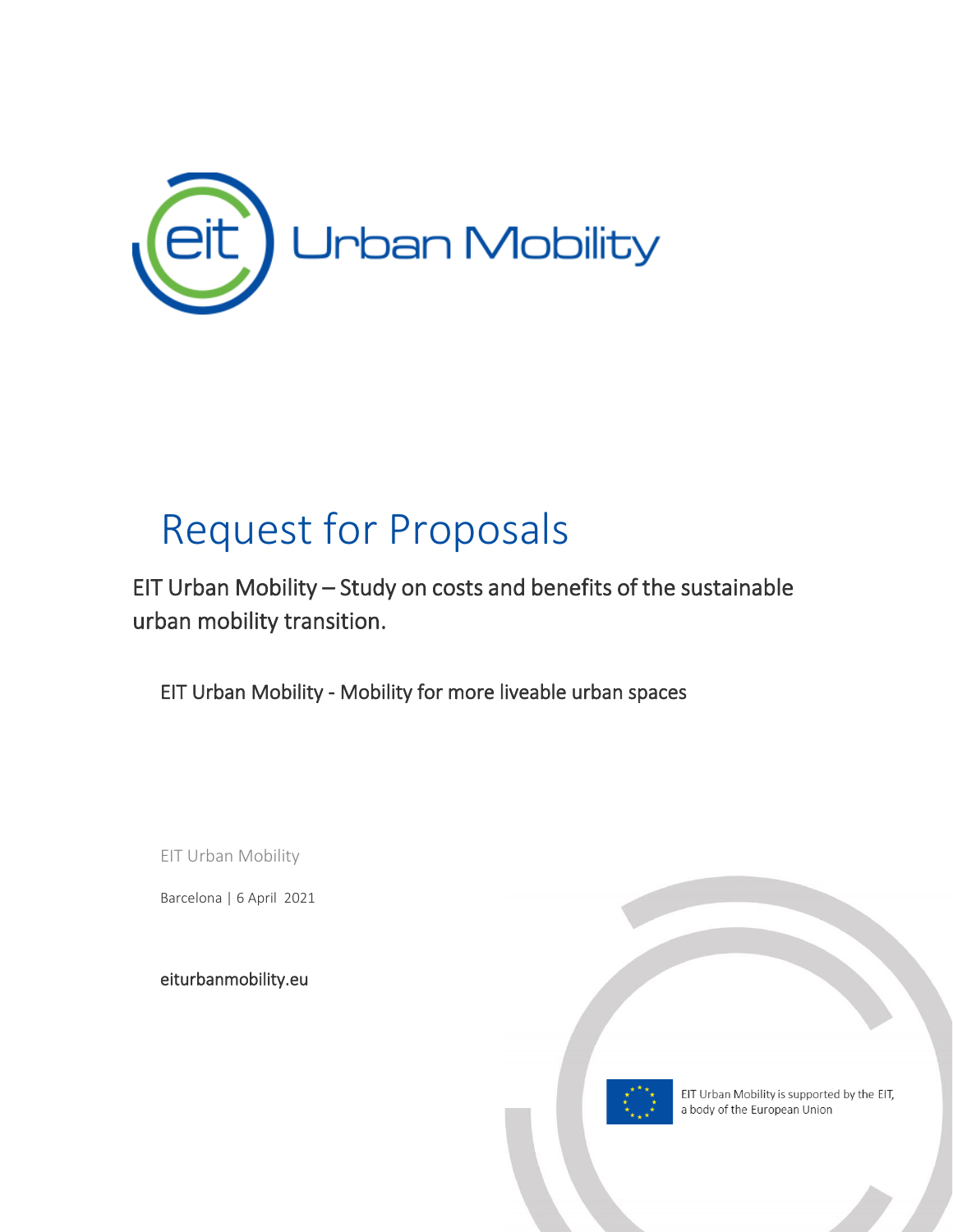

## Request for Proposals

EIT Urban Mobility – Study on costs and benefits of the sustainable urban mobility transition.

EIT Urban Mobility - Mobility for more liveable urban spaces

EIT Urban Mobility

Barcelona | 6 April 2021

[eiturbanmobility.eu](http://www.eiturbanmobility.eu/)

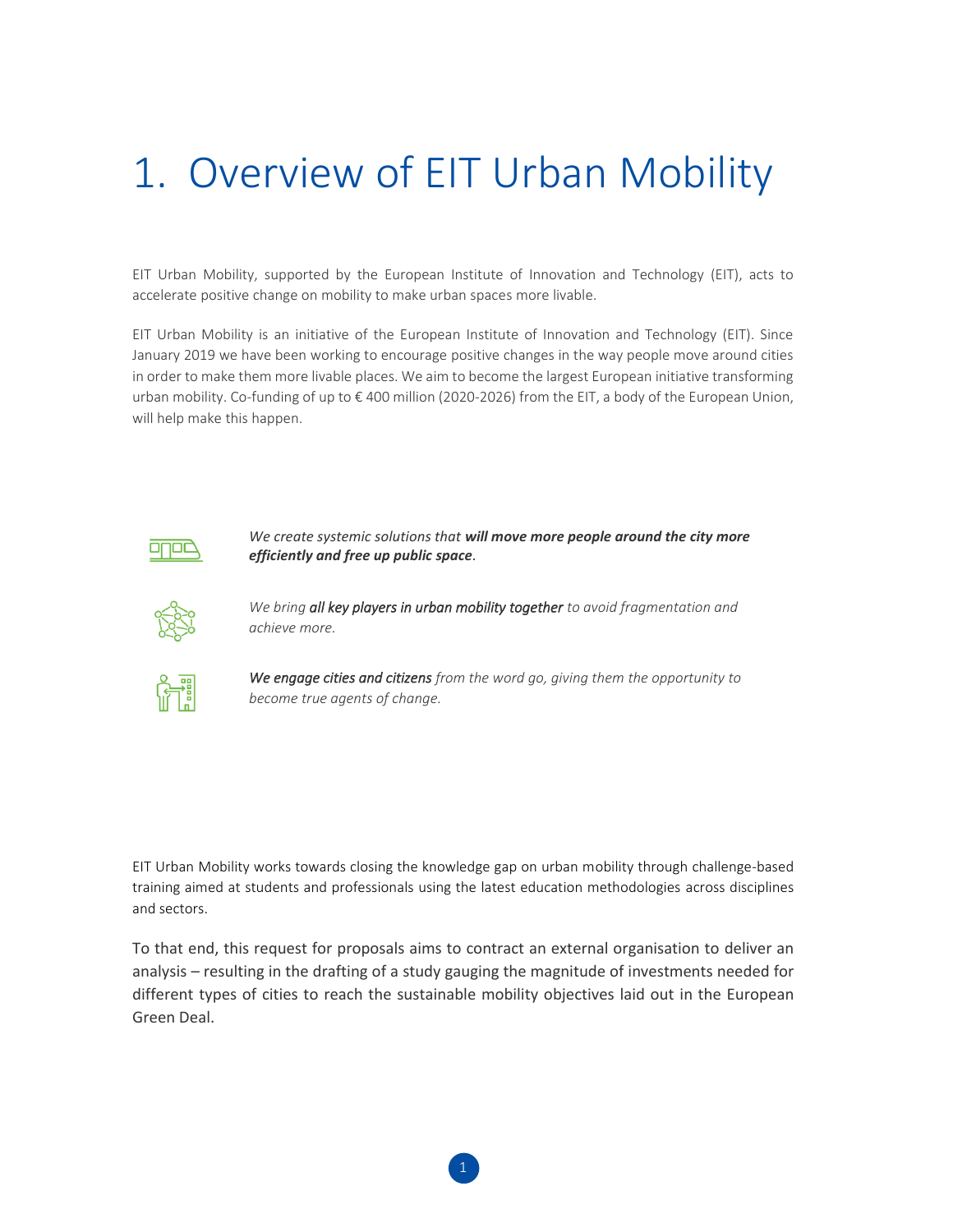## 1. Overview of EIT Urban Mobility

EIT Urban Mobility, supported by the European Institute of Innovation and Technology (EIT), acts to accelerate positive change on mobility to make urban spaces more livable.

EIT Urban Mobility is an initiative of the European Institute of Innovation and Technology (EIT). Since January 2019 we have been working to encourage positive changes in the way people move around cities in order to make them more livable places. We aim to become the largest European initiative transforming urban mobility. Co-funding of up to € 400 million (2020-2026) from the EIT, a body of the European Union, will help make this happen.



*We create systemic solutions that will move more people around the city more efficiently and free up public space.* 



*We bring all key players in urban mobility together to avoid fragmentation and achieve more.*



*We engage cities and citizens from the word go, giving them the opportunity to become true agents of change.*

EIT Urban Mobility works towards closing the knowledge gap on urban mobility through challenge-based training aimed at students and professionals using the latest education methodologies across disciplines and sectors.

To that end, this request for proposals aims to contract an external organisation to deliver an analysis – resulting in the drafting of a study gauging the magnitude of investments needed for different types of cities to reach the sustainable mobility objectives laid out in the European Green Deal.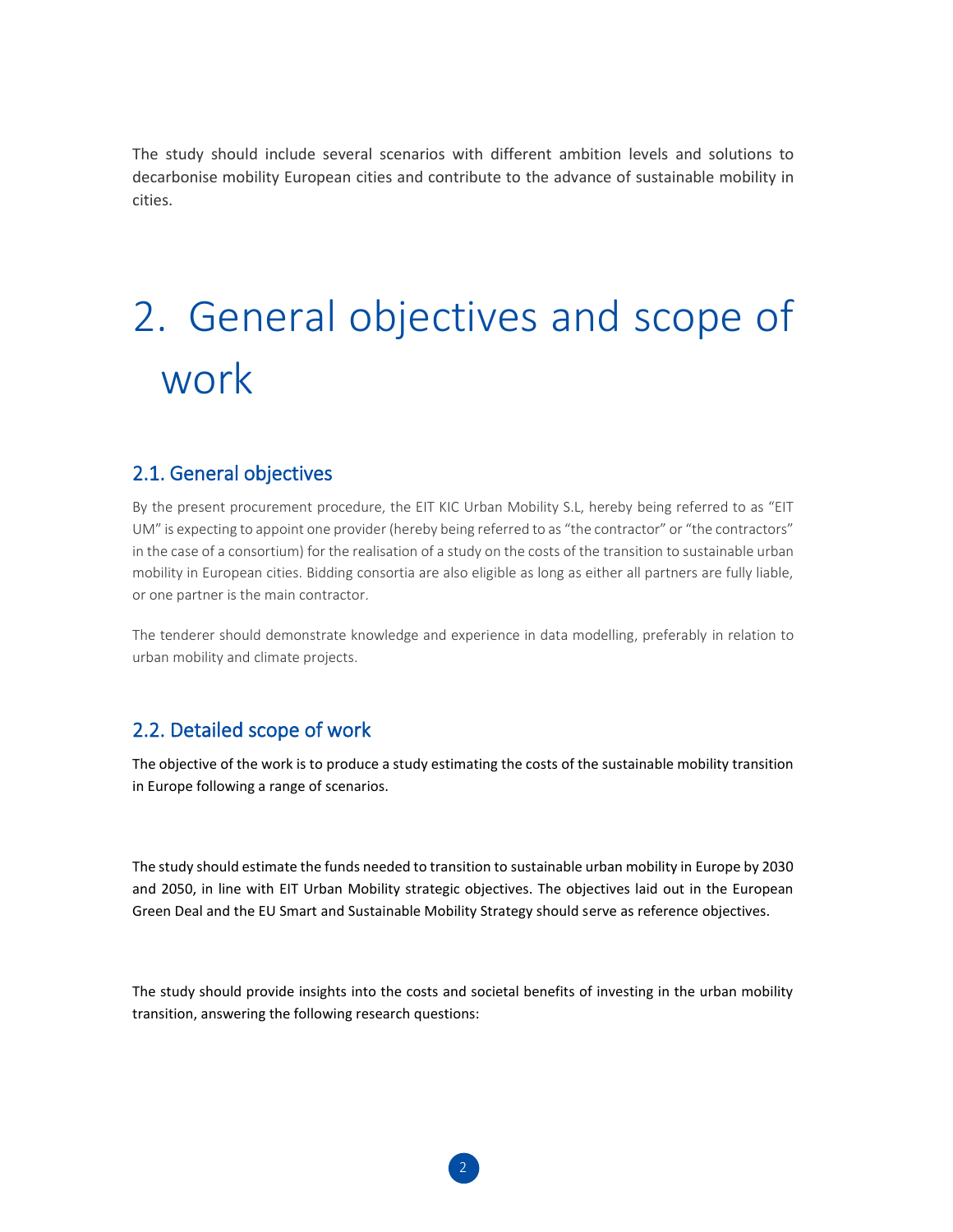The study should include several scenarios with different ambition levels and solutions to decarbonise mobility European cities and contribute to the advance of sustainable mobility in cities.

# 2. General objectives and scope of work

#### 2.1. General objectives

By the present procurement procedure, the EIT KIC Urban Mobility S.L, hereby being referred to as "EIT UM" is expecting to appoint one provider (hereby being referred to as "the contractor" or "the contractors" in the case of a consortium) for the realisation of a study on the costs of the transition to sustainable urban mobility in European cities. Bidding consortia are also eligible as long as either all partners are fully liable, or one partner is the main contractor.

The tenderer should demonstrate knowledge and experience in data modelling, preferably in relation to urban mobility and climate projects.

### 2.2. Detailed scope of work

The objective of the work is to produce a study estimating the costs of the sustainable mobility transition in Europe following a range of scenarios.

The study should estimate the funds needed to transition to sustainable urban mobility in Europe by 2030 and 2050, in line with EIT Urban Mobility strategic objectives. The objectives laid out in the European Green Deal and the EU Smart and Sustainable Mobility Strategy should serve as reference objectives.

The study should provide insights into the costs and societal benefits of investing in the urban mobility transition, answering the following research questions: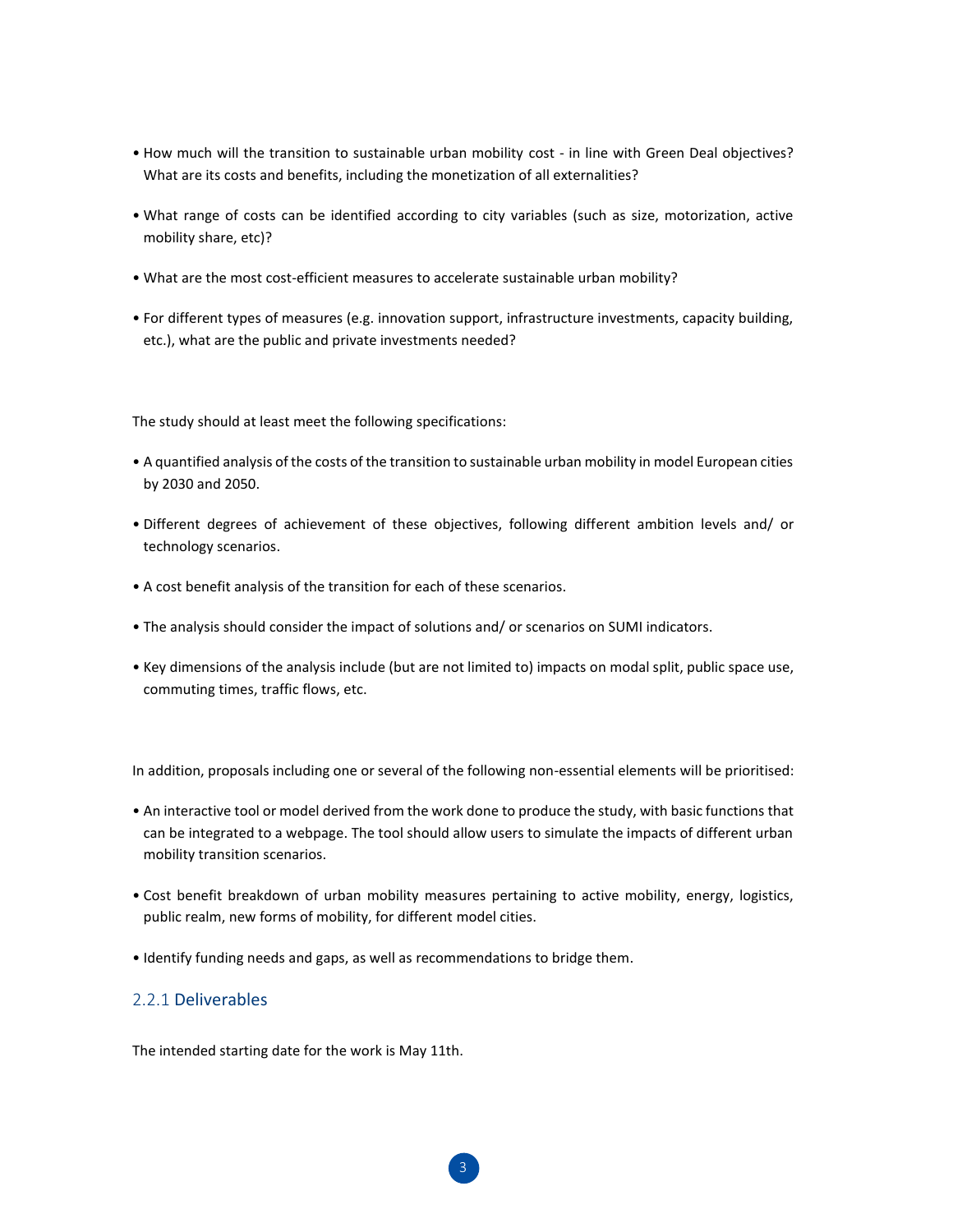- How much will the transition to sustainable urban mobility cost in line with Green Deal objectives? What are its costs and benefits, including the monetization of all externalities?
- What range of costs can be identified according to city variables (such as size, motorization, active mobility share, etc)?
- What are the most cost-efficient measures to accelerate sustainable urban mobility?
- For different types of measures (e.g. innovation support, infrastructure investments, capacity building, etc.), what are the public and private investments needed?

The study should at least meet the following specifications:

- A quantified analysis of the costs of the transition to sustainable urban mobility in model European cities by 2030 and 2050.
- Different degrees of achievement of these objectives, following different ambition levels and/ or technology scenarios.
- A cost benefit analysis of the transition for each of these scenarios.
- The analysis should consider the impact of solutions and/ or scenarios on SUMI indicators.
- Key dimensions of the analysis include (but are not limited to) impacts on modal split, public space use, commuting times, traffic flows, etc.

In addition, proposals including one or several of the following non-essential elements will be prioritised:

- An interactive tool or model derived from the work done to produce the study, with basic functions that can be integrated to a webpage. The tool should allow users to simulate the impacts of different urban mobility transition scenarios.
- Cost benefit breakdown of urban mobility measures pertaining to active mobility, energy, logistics, public realm, new forms of mobility, for different model cities.
- Identify funding needs and gaps, as well as recommendations to bridge them.

#### 2.2.1 Deliverables

The intended starting date for the work is May 11th.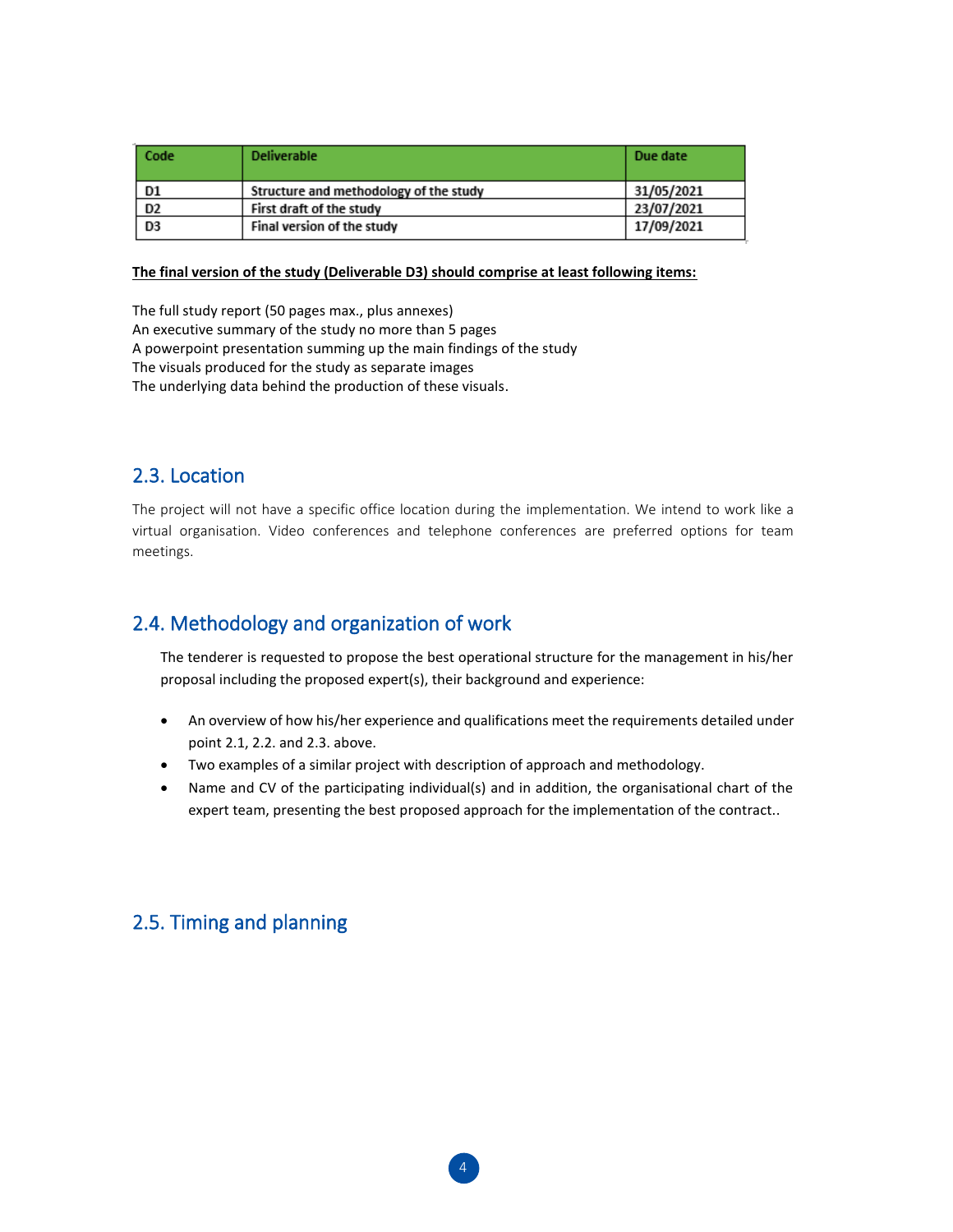| Code           | <b>Deliverable</b>                     | Due date   |
|----------------|----------------------------------------|------------|
| D1             | Structure and methodology of the study | 31/05/2021 |
| D <sub>2</sub> | First draft of the study               | 23/07/2021 |
| D <sub>3</sub> | Final version of the study             | 17/09/2021 |

#### **The final version of the study (Deliverable D3) should comprise at least following items:**

The full study report (50 pages max., plus annexes) An executive summary of the study no more than 5 pages A powerpoint presentation summing up the main findings of the study The visuals produced for the study as separate images The underlying data behind the production of these visuals.

## 2.3. Location

The project will not have a specific office location during the implementation. We intend to work like a virtual organisation. Video conferences and telephone conferences are preferred options for team meetings.

## 2.4. Methodology and organization of work

The tenderer is requested to propose the best operational structure for the management in his/her proposal including the proposed expert(s), their background and experience:

- An overview of how his/her experience and qualifications meet the requirements detailed under point 2.1, 2.2. and 2.3. above.
- Two examples of a similar project with description of approach and methodology.
- Name and CV of the participating individual(s) and in addition, the organisational chart of the expert team, presenting the best proposed approach for the implementation of the contract..

## 2.5. Timing and planning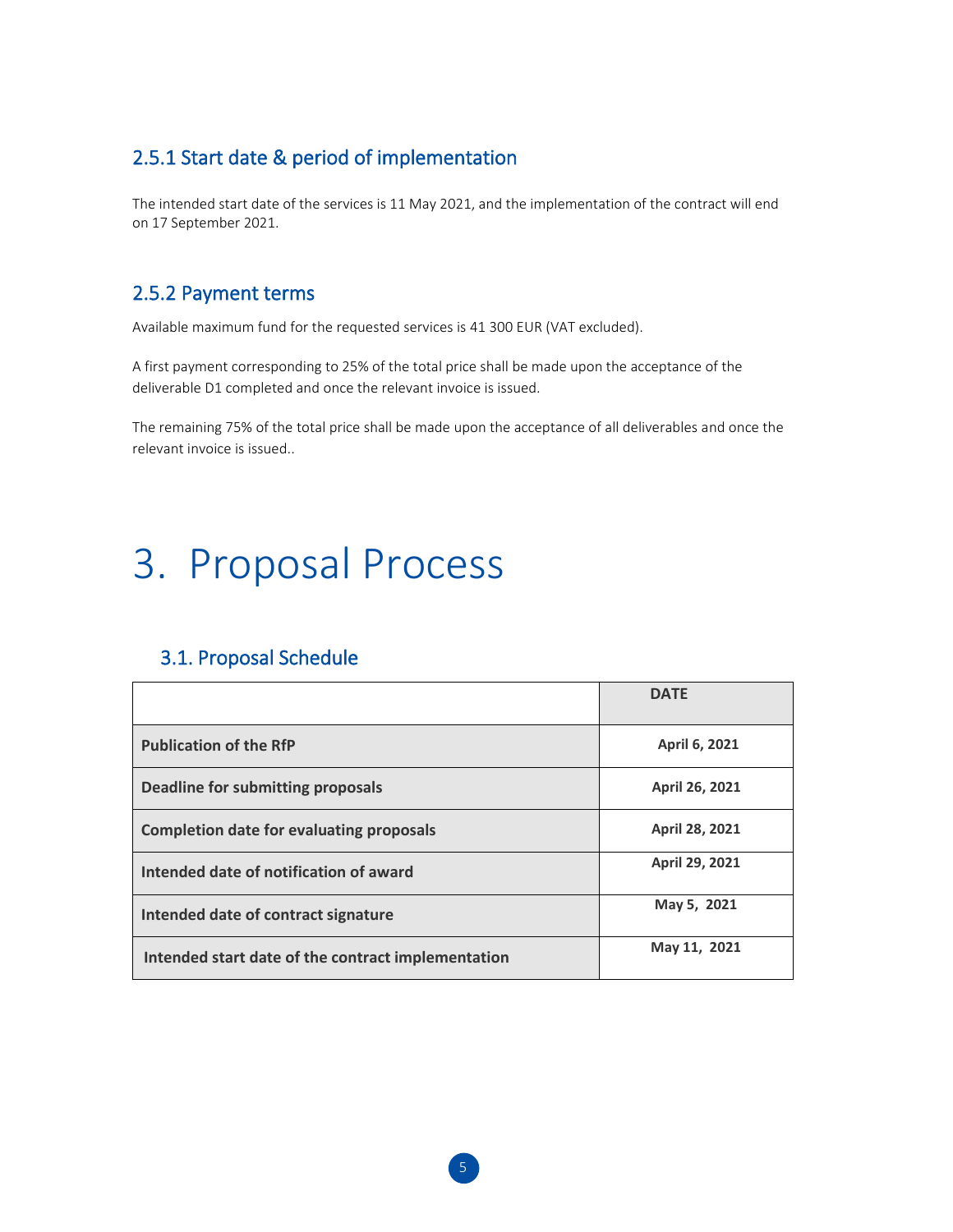## 2.5.1 Start date & period of implementation

The intended start date of the services is 11 May 2021, and the implementation of the contract will end on 17 September 2021.

### 2.5.2 Payment terms

Available maximum fund for the requested services is 41 300 EUR (VAT excluded).

A first payment corresponding to 25% of the total price shall be made upon the acceptance of the deliverable D1 completed and once the relevant invoice is issued.

The remaining 75% of the total price shall be made upon the acceptance of all deliverables and once the relevant invoice is issued..

## 3. Proposal Process

## 3.1. Proposal Schedule

|                                                    | <b>DATE</b>           |
|----------------------------------------------------|-----------------------|
| <b>Publication of the RfP</b>                      | <b>April 6, 2021</b>  |
| Deadline for submitting proposals                  | April 26, 2021        |
| <b>Completion date for evaluating proposals</b>    | <b>April 28, 2021</b> |
| Intended date of notification of award             | <b>April 29, 2021</b> |
| Intended date of contract signature                | May 5, 2021           |
| Intended start date of the contract implementation | May 11, 2021          |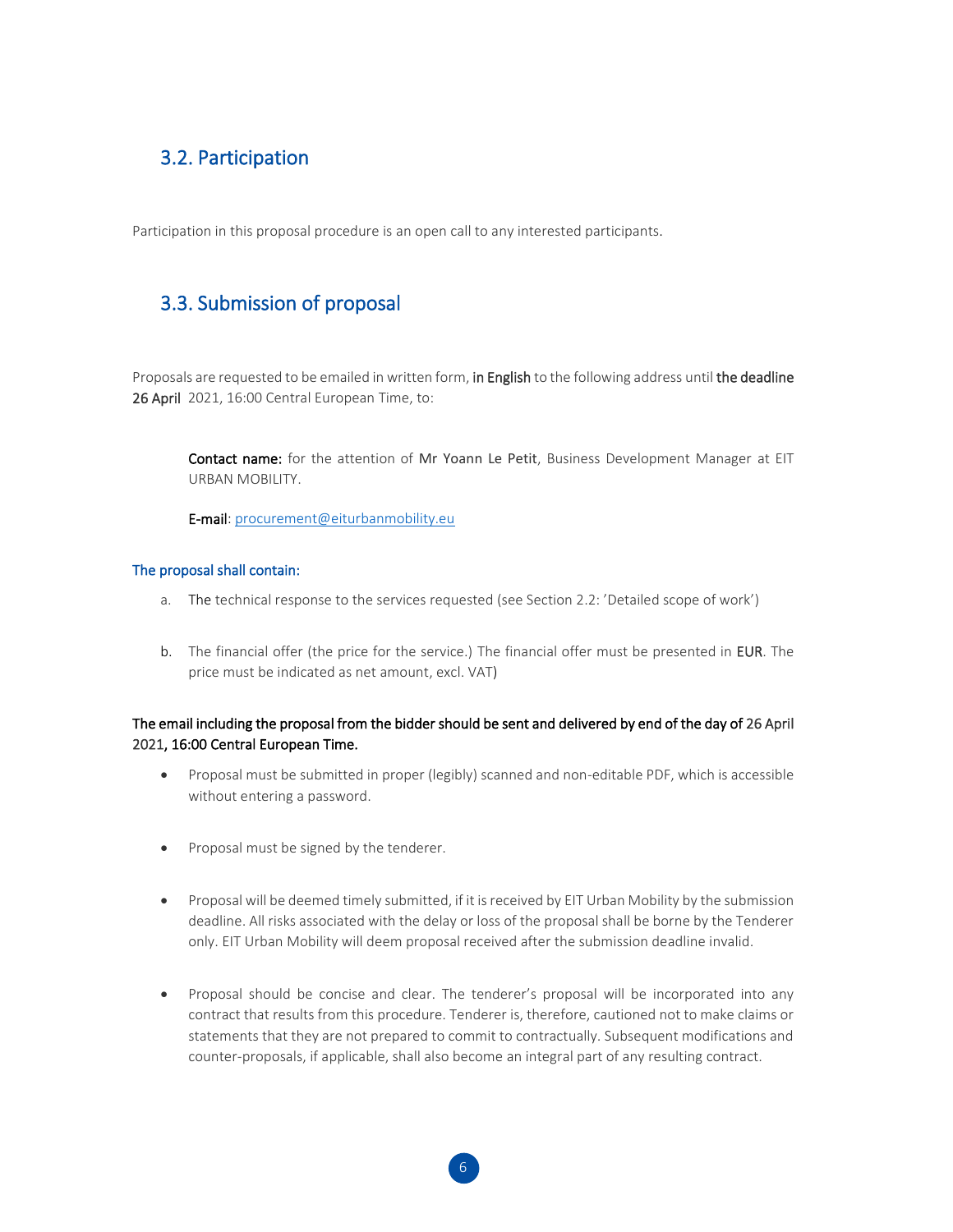## 3.2. Participation

Participation in this proposal procedure is an open call to any interested participants.

## 3.3. Submission of proposal

Proposals are requested to be emailed in written form, in English to the following address until the deadline 26 April 2021, 16:00 Central European Time, to:

Contact name: for the attention of Mr Yoann Le Petit, Business Development Manager at EIT URBAN MOBILITY.

E-mail: [procurement@eiturbanmobility.eu](mailto:procurement@eiturbanmobility.eu)

#### The proposal shall contain:

- a. The technical response to the services requested (see Section 2.2: 'Detailed scope of work')
- b. The financial offer (the price for the service.) The financial offer must be presented in EUR. The price must be indicated as net amount, excl. VAT)

#### The email including the proposal from the bidder should be sent and delivered by end of the day of 26 April 2021, 16:00 Central European Time.

- Proposal must be submitted in proper (legibly) scanned and non-editable PDF, which is accessible without entering a password.
- Proposal must be signed by the tenderer.
- Proposal will be deemed timely submitted, if it is received by EIT Urban Mobility by the submission deadline. All risks associated with the delay or loss of the proposal shall be borne by the Tenderer only. EIT Urban Mobility will deem proposal received after the submission deadline invalid.
- Proposal should be concise and clear. The tenderer's proposal will be incorporated into any contract that results from this procedure. Tenderer is, therefore, cautioned not to make claims or statements that they are not prepared to commit to contractually. Subsequent modifications and counter-proposals, if applicable, shall also become an integral part of any resulting contract.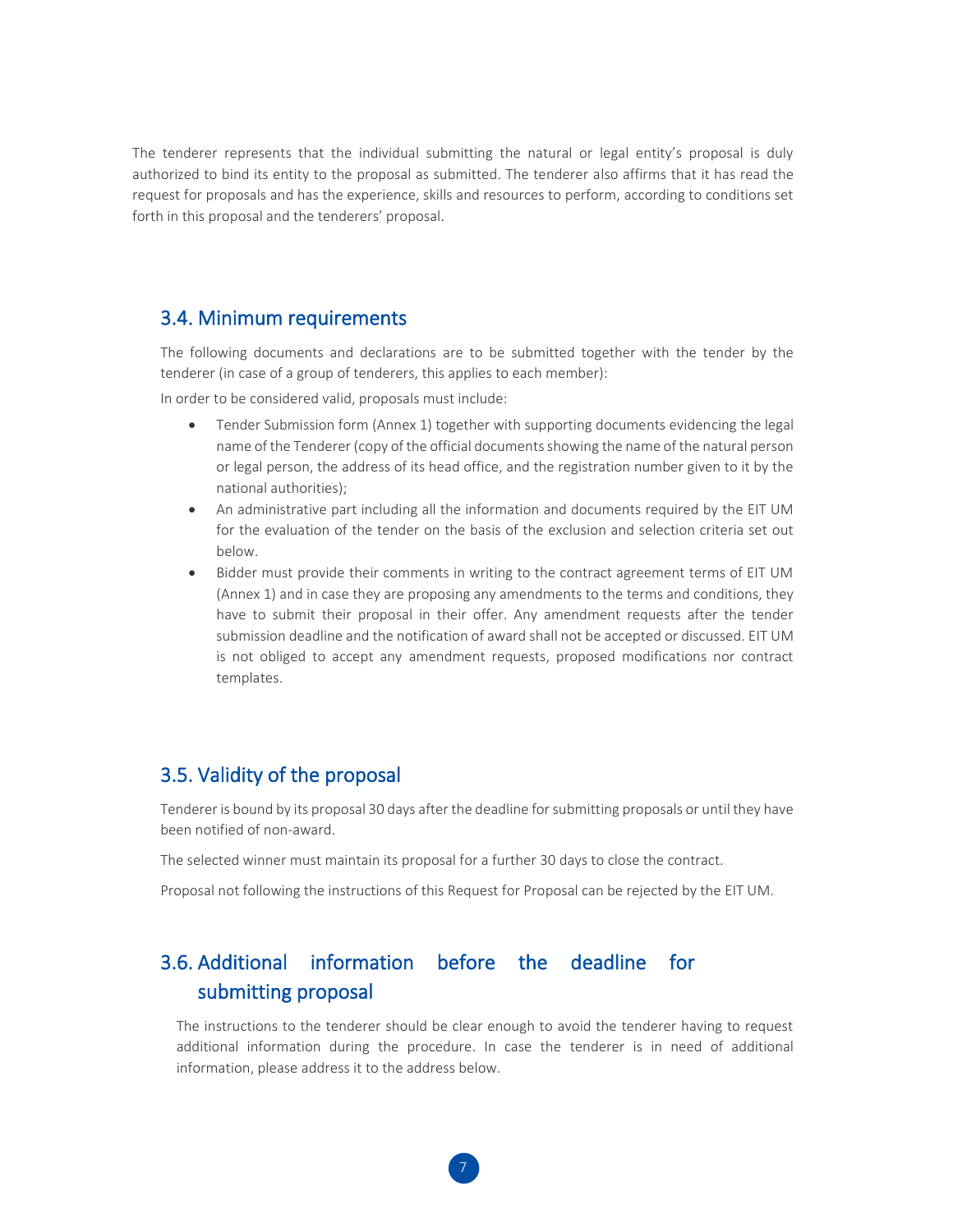The tenderer represents that the individual submitting the natural or legal entity's proposal is duly authorized to bind its entity to the proposal as submitted. The tenderer also affirms that it has read the request for proposals and has the experience, skills and resources to perform, according to conditions set forth in this proposal and the tenderers' proposal.

#### 3.4. Minimum requirements

The following documents and declarations are to be submitted together with the tender by the tenderer (in case of a group of tenderers, this applies to each member):

In order to be considered valid, proposals must include:

- Tender Submission form (Annex 1) together with supporting documents evidencing the legal name of the Tenderer (copy of the official documents showing the name of the natural person or legal person, the address of its head office, and the registration number given to it by the national authorities);
- An administrative part including all the information and documents required by the EIT UM for the evaluation of the tender on the basis of the exclusion and selection criteria set out below.
- Bidder must provide their comments in writing to the contract agreement terms of EIT UM (Annex 1) and in case they are proposing any amendments to the terms and conditions, they have to submit their proposal in their offer. Any amendment requests after the tender submission deadline and the notification of award shall not be accepted or discussed. EIT UM is not obliged to accept any amendment requests, proposed modifications nor contract templates.

#### 3.5. Validity of the proposal

Tenderer is bound by its proposal 30 days after the deadline for submitting proposals or until they have been notified of non-award.

The selected winner must maintain its proposal for a further 30 days to close the contract.

Proposal not following the instructions of this Request for Proposal can be rejected by the EIT UM.

## 3.6. Additional information before the deadline for submitting proposal

The instructions to the tenderer should be clear enough to avoid the tenderer having to request additional information during the procedure. In case the tenderer is in need of additional information, please address it to the address below.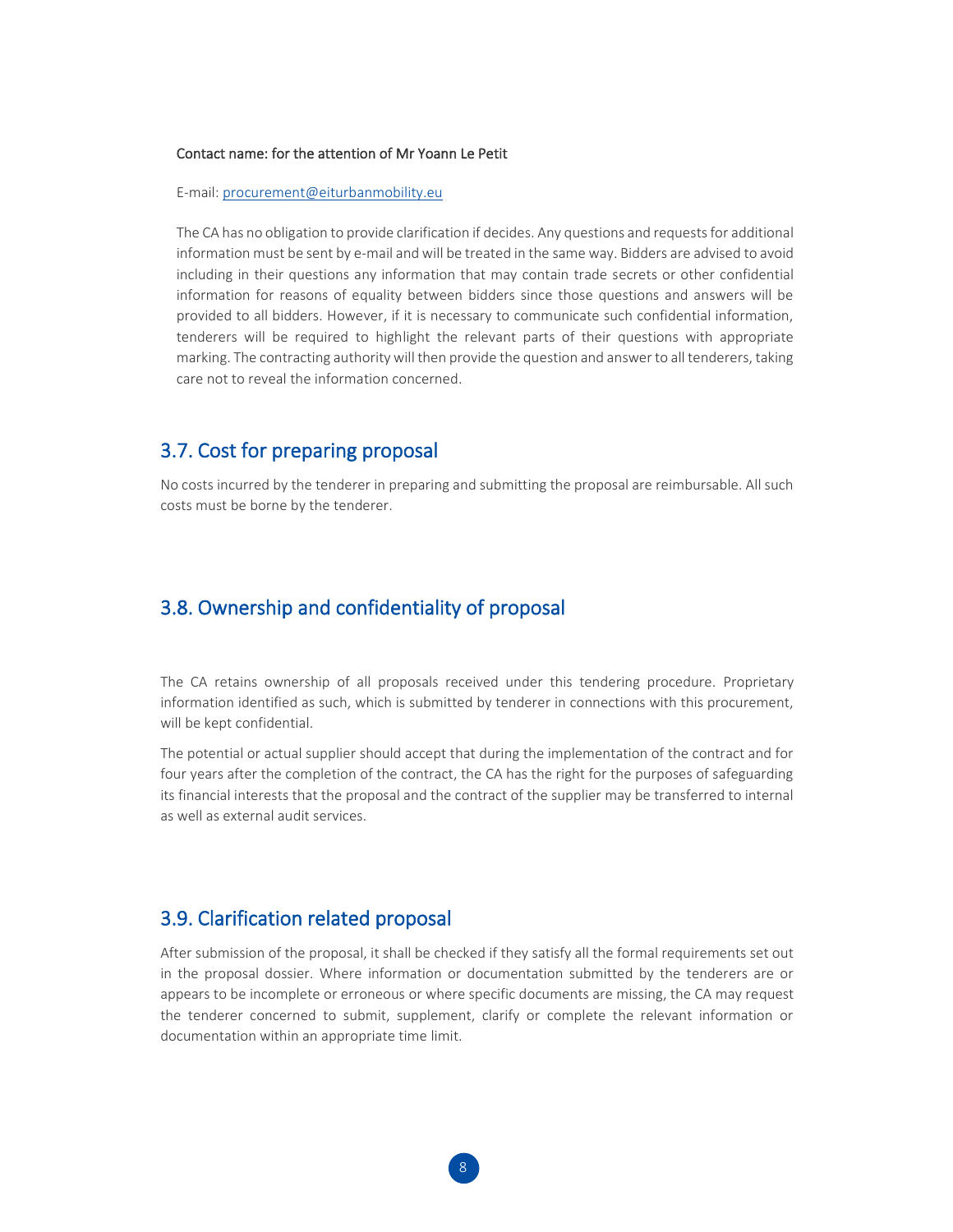#### Contact name: for the attention of Mr Yoann Le Petit

E-mail: [procurement@eiturbanmobility.eu](mailto:procurement@eiturbanmobility.eu)

The CA has no obligation to provide clarification if decides. Any questions and requests for additional information must be sent by e-mail and will be treated in the same way. Bidders are advised to avoid including in their questions any information that may contain trade secrets or other confidential information for reasons of equality between bidders since those questions and answers will be provided to all bidders. However, if it is necessary to communicate such confidential information, tenderers will be required to highlight the relevant parts of their questions with appropriate marking. The contracting authority will then provide the question and answer to all tenderers, taking care not to reveal the information concerned.

## 3.7. Cost for preparing proposal

No costs incurred by the tenderer in preparing and submitting the proposal are reimbursable. All such costs must be borne by the tenderer.

### 3.8. Ownership and confidentiality of proposal

The CA retains ownership of all proposals received under this tendering procedure. Proprietary information identified as such, which is submitted by tenderer in connections with this procurement, will be kept confidential.

The potential or actual supplier should accept that during the implementation of the contract and for four years after the completion of the contract, the CA has the right for the purposes of safeguarding its financial interests that the proposal and the contract of the supplier may be transferred to internal as well as external audit services.

#### 3.9. Clarification related proposal

After submission of the proposal, it shall be checked if they satisfy all the formal requirements set out in the proposal dossier. Where information or documentation submitted by the tenderers are or appears to be incomplete or erroneous or where specific documents are missing, the CA may request the tenderer concerned to submit, supplement, clarify or complete the relevant information or documentation within an appropriate time limit.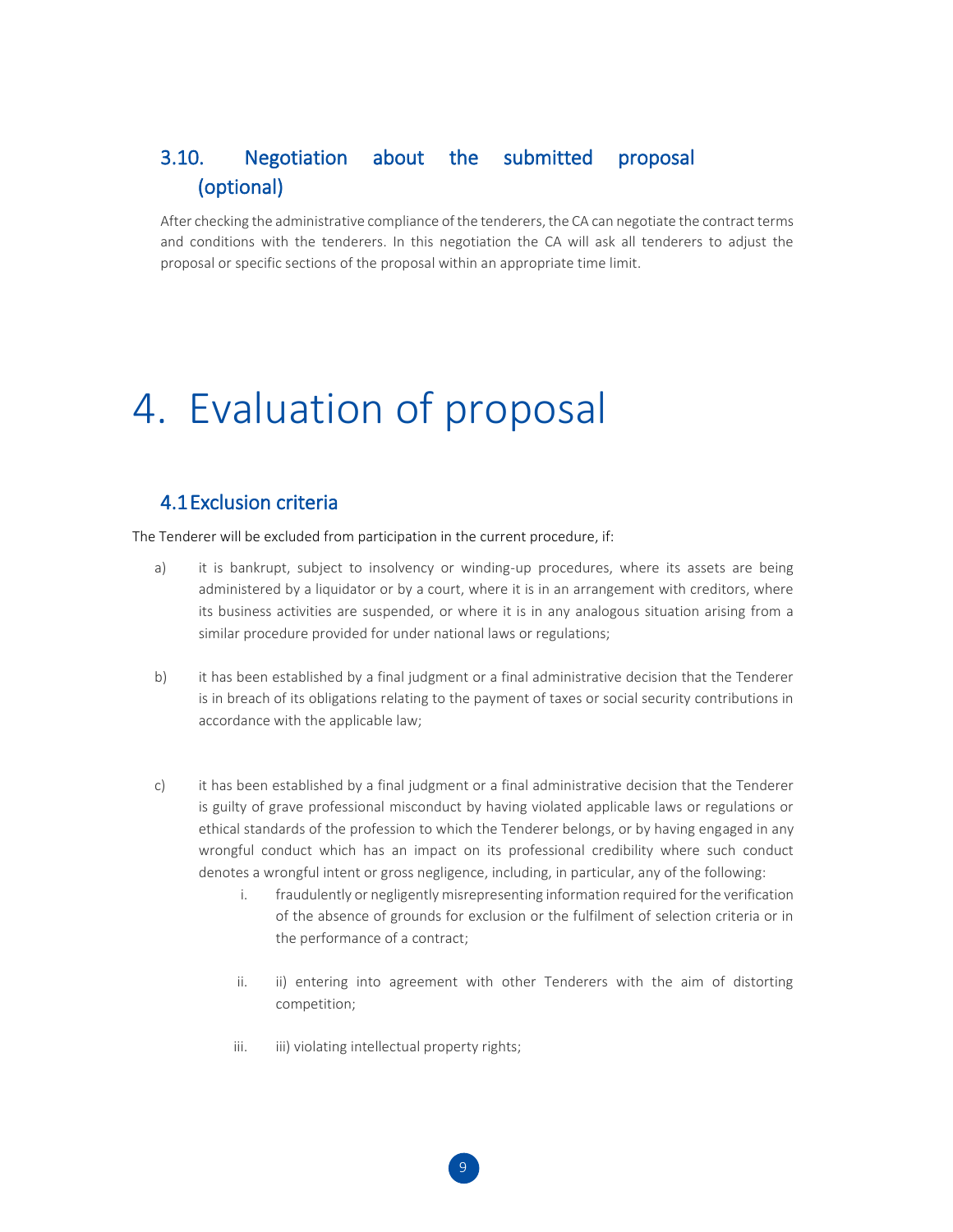## 3.10. Negotiation about the submitted proposal (optional)

After checking the administrative compliance of the tenderers, the CA can negotiate the contract terms and conditions with the tenderers. In this negotiation the CA will ask all tenderers to adjust the proposal or specific sections of the proposal within an appropriate time limit.

## 4. Evaluation of proposal

### 4.1Exclusion criteria

The Tenderer will be excluded from participation in the current procedure, if:

- a) it is bankrupt, subject to insolvency or winding-up procedures, where its assets are being administered by a liquidator or by a court, where it is in an arrangement with creditors, where its business activities are suspended, or where it is in any analogous situation arising from a similar procedure provided for under national laws or regulations;
- b) it has been established by a final judgment or a final administrative decision that the Tenderer is in breach of its obligations relating to the payment of taxes or social security contributions in accordance with the applicable law;
- c) it has been established by a final judgment or a final administrative decision that the Tenderer is guilty of grave professional misconduct by having violated applicable laws or regulations or ethical standards of the profession to which the Tenderer belongs, or by having engaged in any wrongful conduct which has an impact on its professional credibility where such conduct denotes a wrongful intent or gross negligence, including, in particular, any of the following:
	- i. fraudulently or negligently misrepresenting information required for the verification of the absence of grounds for exclusion or the fulfilment of selection criteria or in the performance of a contract;
	- ii. ii) entering into agreement with other Tenderers with the aim of distorting competition;
	- iii. iii) violating intellectual property rights;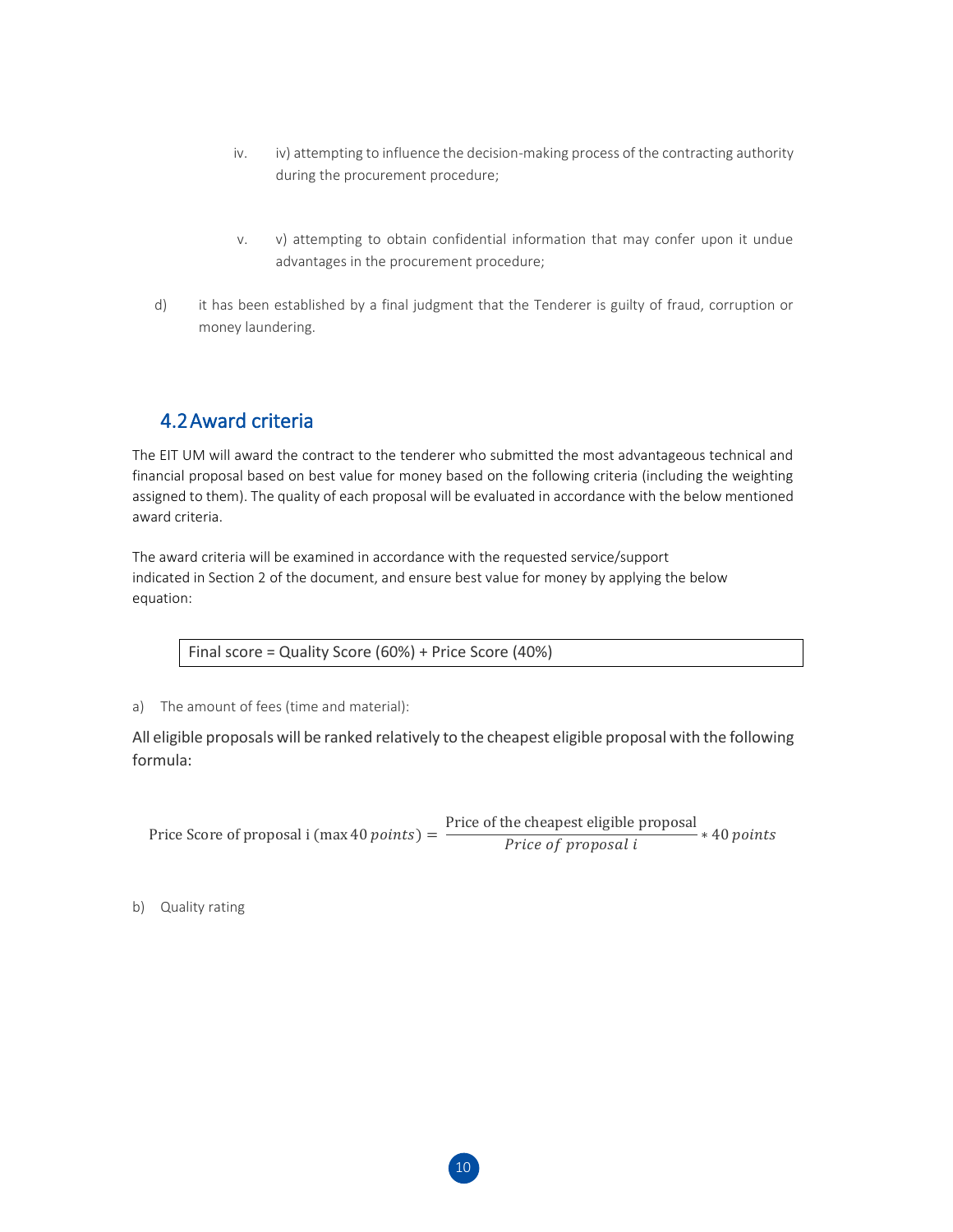- iv. iv) attempting to influence the decision-making process of the contracting authority during the procurement procedure;
- v. v) attempting to obtain confidential information that may confer upon it undue advantages in the procurement procedure;
- d) it has been established by a final judgment that the Tenderer is guilty of fraud, corruption or money laundering.

## 4.2Award criteria

The EIT UM will award the contract to the tenderer who submitted the most advantageous technical and financial proposal based on best value for money based on the following criteria (including the weighting assigned to them). The quality of each proposal will be evaluated in accordance with the below mentioned award criteria.

The award criteria will be examined in accordance with the requested service/support indicated in Section 2 of the document, and ensure best value for money by applying the below equation:

Final score = Quality Score (60%) + Price Score (40%)

a) The amount of fees (time and material):

All eligible proposals will be ranked relatively to the cheapest eligible proposal with the following formula:

Price Score of proposal i (max 40  $points$ ) = Price of the cheapest eligible proposal Price of proposal i ∗ 40

b) Quality rating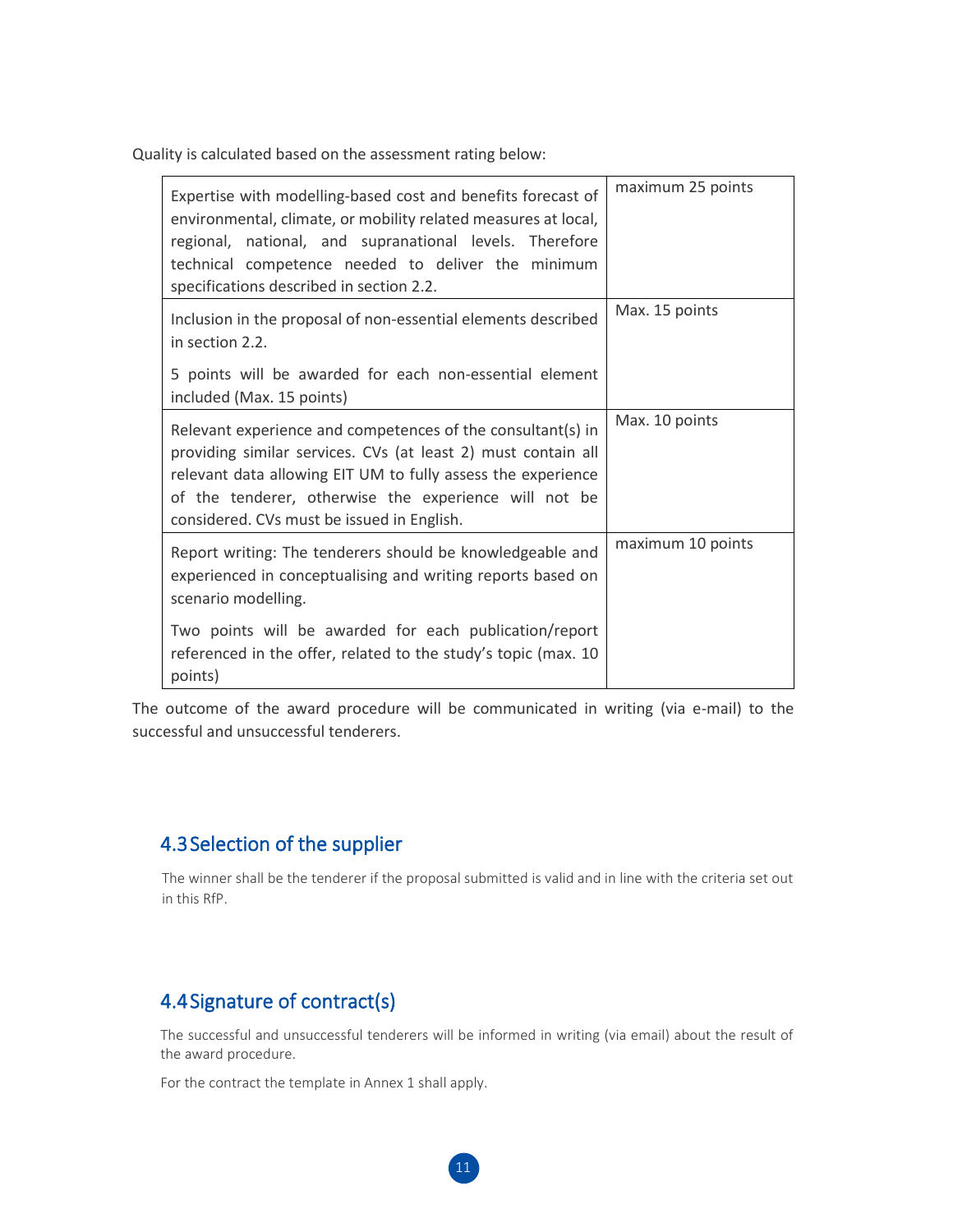Quality is calculated based on the assessment rating below:

| Expertise with modelling-based cost and benefits forecast of<br>environmental, climate, or mobility related measures at local,<br>regional, national, and supranational levels. Therefore<br>technical competence needed to deliver the minimum<br>specifications described in section 2.2.         | maximum 25 points |
|-----------------------------------------------------------------------------------------------------------------------------------------------------------------------------------------------------------------------------------------------------------------------------------------------------|-------------------|
| Inclusion in the proposal of non-essential elements described<br>in section 2.2.                                                                                                                                                                                                                    | Max. 15 points    |
| 5 points will be awarded for each non-essential element<br>included (Max. 15 points)                                                                                                                                                                                                                |                   |
| Relevant experience and competences of the consultant(s) in<br>providing similar services. CVs (at least 2) must contain all<br>relevant data allowing EIT UM to fully assess the experience<br>of the tenderer, otherwise the experience will not be<br>considered. CVs must be issued in English. | Max. 10 points    |
| Report writing: The tenderers should be knowledgeable and<br>experienced in conceptualising and writing reports based on<br>scenario modelling.                                                                                                                                                     | maximum 10 points |
| Two points will be awarded for each publication/report<br>referenced in the offer, related to the study's topic (max. 10<br>points)                                                                                                                                                                 |                   |

The outcome of the award procedure will be communicated in writing (via e-mail) to the successful and unsuccessful tenderers.

## 4.3Selection of the supplier

The winner shall be the tenderer if the proposal submitted is valid and in line with the criteria set out in this RfP.

## 4.4Signature of contract(s)

The successful and unsuccessful tenderers will be informed in writing (via email) about the result of the award procedure.

For the contract the template in Annex 1 shall apply.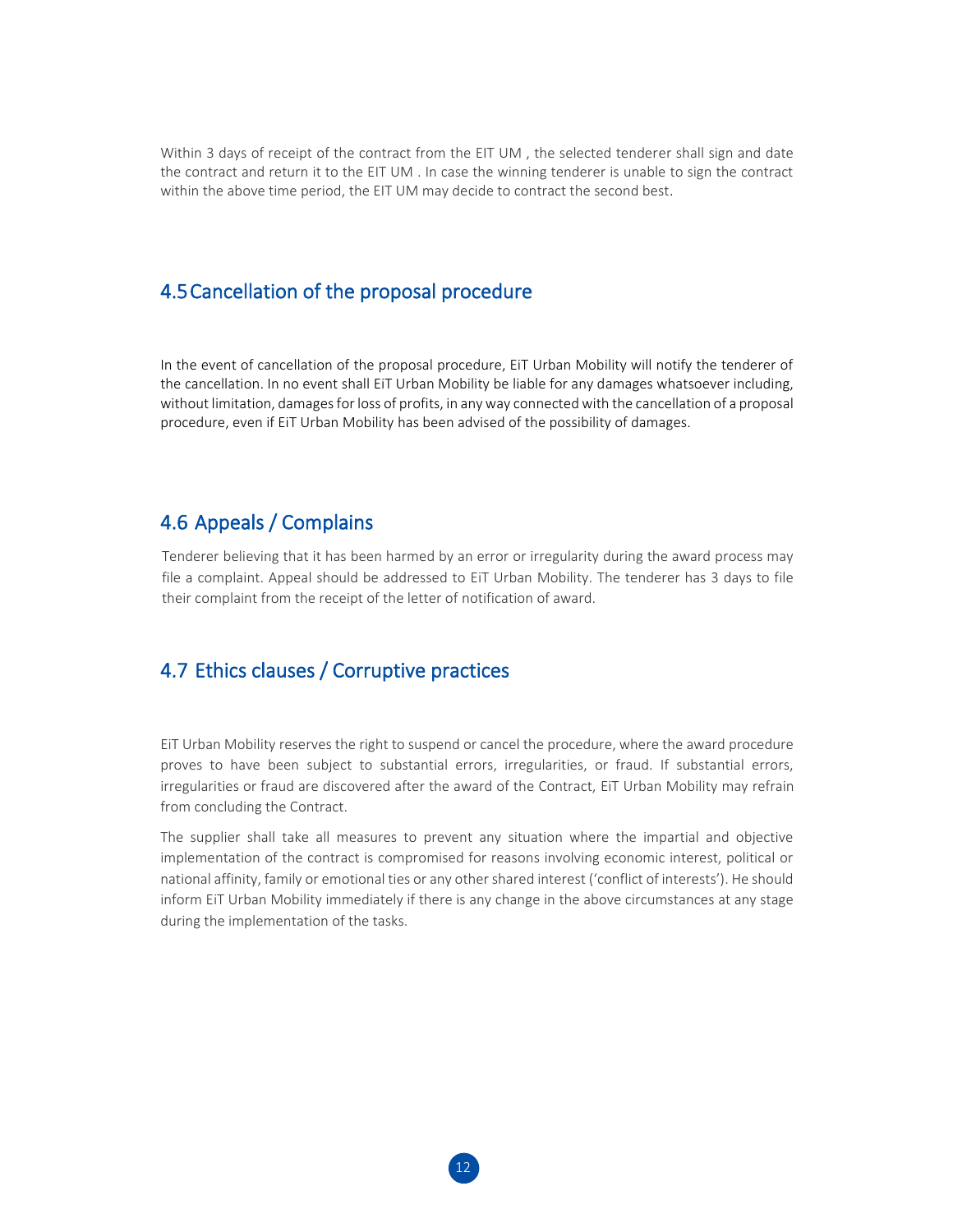Within 3 days of receipt of the contract from the EIT UM , the selected tenderer shall sign and date the contract and return it to the EIT UM . In case the winning tenderer is unable to sign the contract within the above time period, the EIT UM may decide to contract the second best.

## 4.5Cancellation of the proposal procedure

In the event of cancellation of the proposal procedure, EiT Urban Mobility will notify the tenderer of the cancellation. In no event shall EiT Urban Mobility be liable for any damages whatsoever including, without limitation, damages for loss of profits, in any way connected with the cancellation of a proposal procedure, even if EiT Urban Mobility has been advised of the possibility of damages.

### 4.6 Appeals / Complains

Tenderer believing that it has been harmed by an error or irregularity during the award process may file a complaint. Appeal should be addressed to EiT Urban Mobility. The tenderer has 3 days to file their complaint from the receipt of the letter of notification of award.

### 4.7 Ethics clauses / Corruptive practices

EiT Urban Mobility reserves the right to suspend or cancel the procedure, where the award procedure proves to have been subject to substantial errors, irregularities, or fraud. If substantial errors, irregularities or fraud are discovered after the award of the Contract, EiT Urban Mobility may refrain from concluding the Contract.

The supplier shall take all measures to prevent any situation where the impartial and objective implementation of the contract is compromised for reasons involving economic interest, political or national affinity, family or emotional ties or any other shared interest ('conflict of interests'). He should inform EiT Urban Mobility immediately if there is any change in the above circumstances at any stage during the implementation of the tasks.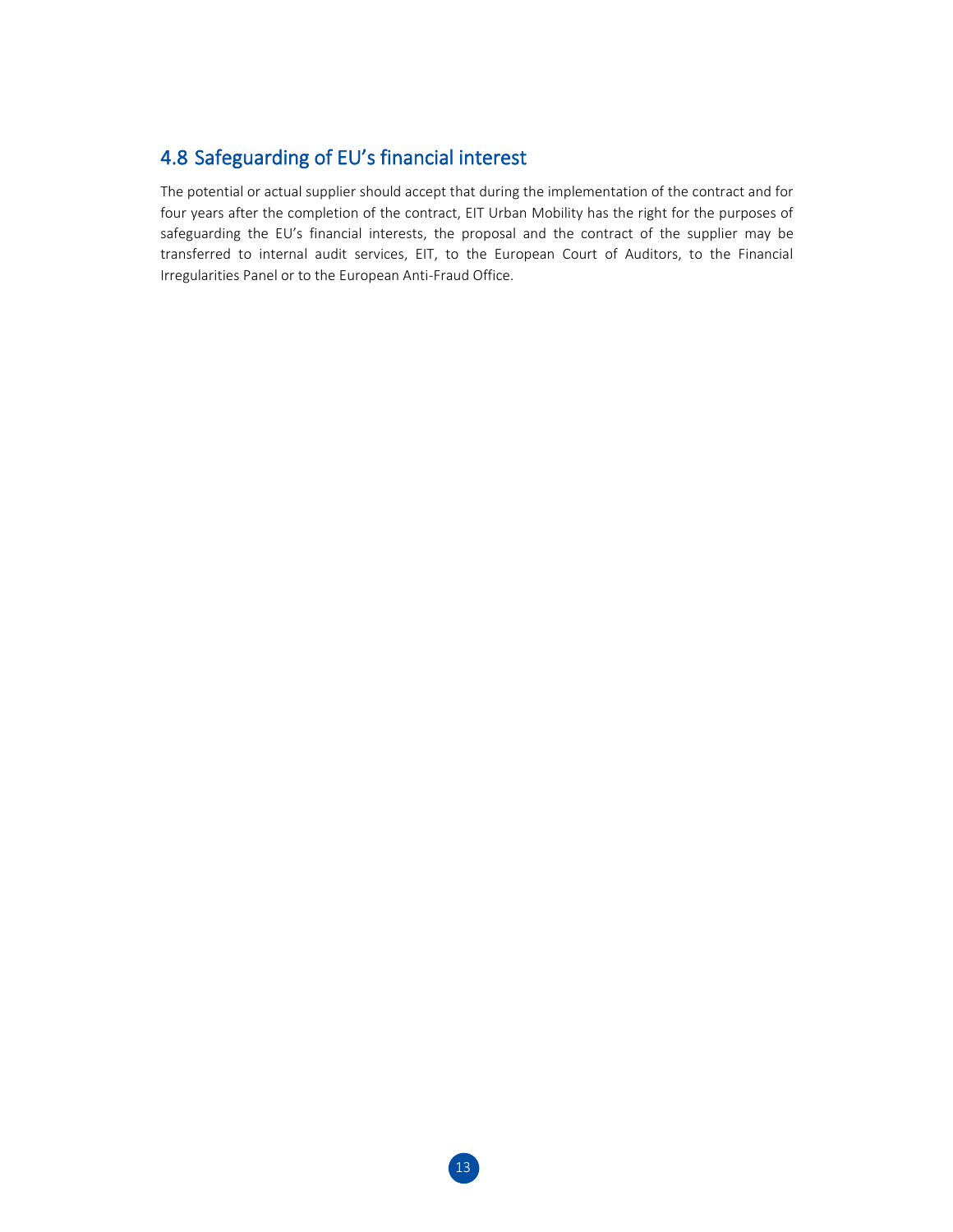## 4.8 Safeguarding of EU's financial interest

The potential or actual supplier should accept that during the implementation of the contract and for four years after the completion of the contract, EIT Urban Mobility has the right for the purposes of safeguarding the EU's financial interests, the proposal and the contract of the supplier may be transferred to internal audit services, EIT, to the European Court of Auditors, to the Financial Irregularities Panel or to the European Anti-Fraud Office.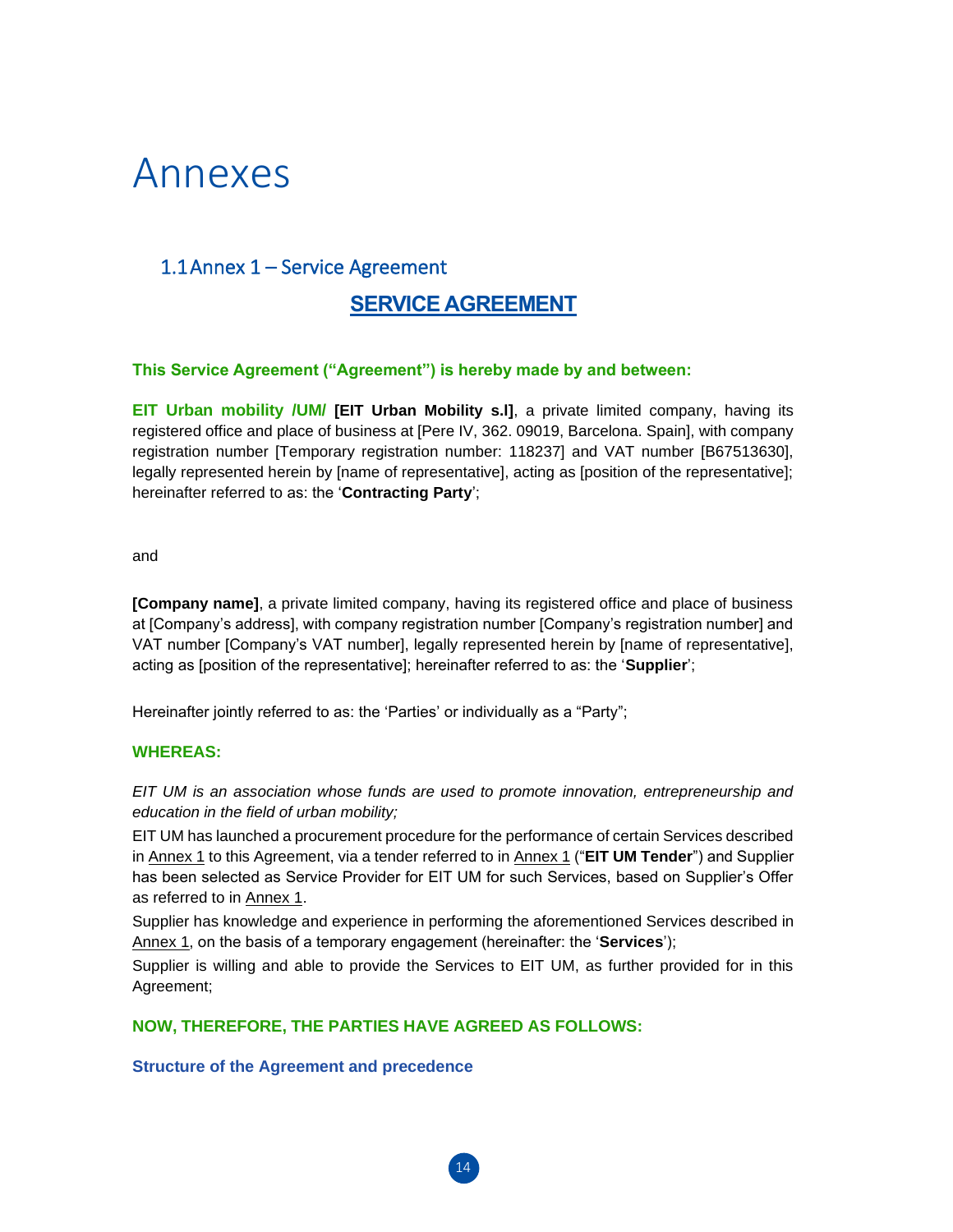## Annexes

## 1.1Annex 1 – Service Agreement

### **SERVICE AGREEMENT**

#### **This Service Agreement ("Agreement") is hereby made by and between:**

**EIT Urban mobility /UM/ [EIT Urban Mobility s.l]**, a private limited company, having its registered office and place of business at [Pere IV, 362. 09019, Barcelona. Spain], with company registration number [Temporary registration number: 118237] and VAT number [B67513630], legally represented herein by [name of representative], acting as [position of the representative]; hereinafter referred to as: the '**Contracting Party**';

and

**[Company name]**, a private limited company, having its registered office and place of business at [Company's address], with company registration number [Company's registration number] and VAT number [Company's VAT number], legally represented herein by [name of representative], acting as [position of the representative]; hereinafter referred to as: the '**Supplier**';

Hereinafter jointly referred to as: the 'Parties' or individually as a "Party";

#### **WHEREAS:**

*EIT UM is an association whose funds are used to promote innovation, entrepreneurship and education in the field of urban mobility;*

EIT UM has launched a procurement procedure for the performance of certain Services described in Annex 1 to this Agreement, via a tender referred to in Annex 1 ("**EIT UM Tender**") and Supplier has been selected as Service Provider for EIT UM for such Services, based on Supplier's Offer as referred to in Annex 1.

Supplier has knowledge and experience in performing the aforementioned Services described in Annex 1, on the basis of a temporary engagement (hereinafter: the '**Services**');

Supplier is willing and able to provide the Services to EIT UM, as further provided for in this Agreement;

14

**NOW, THEREFORE, THE PARTIES HAVE AGREED AS FOLLOWS:**

**Structure of the Agreement and precedence**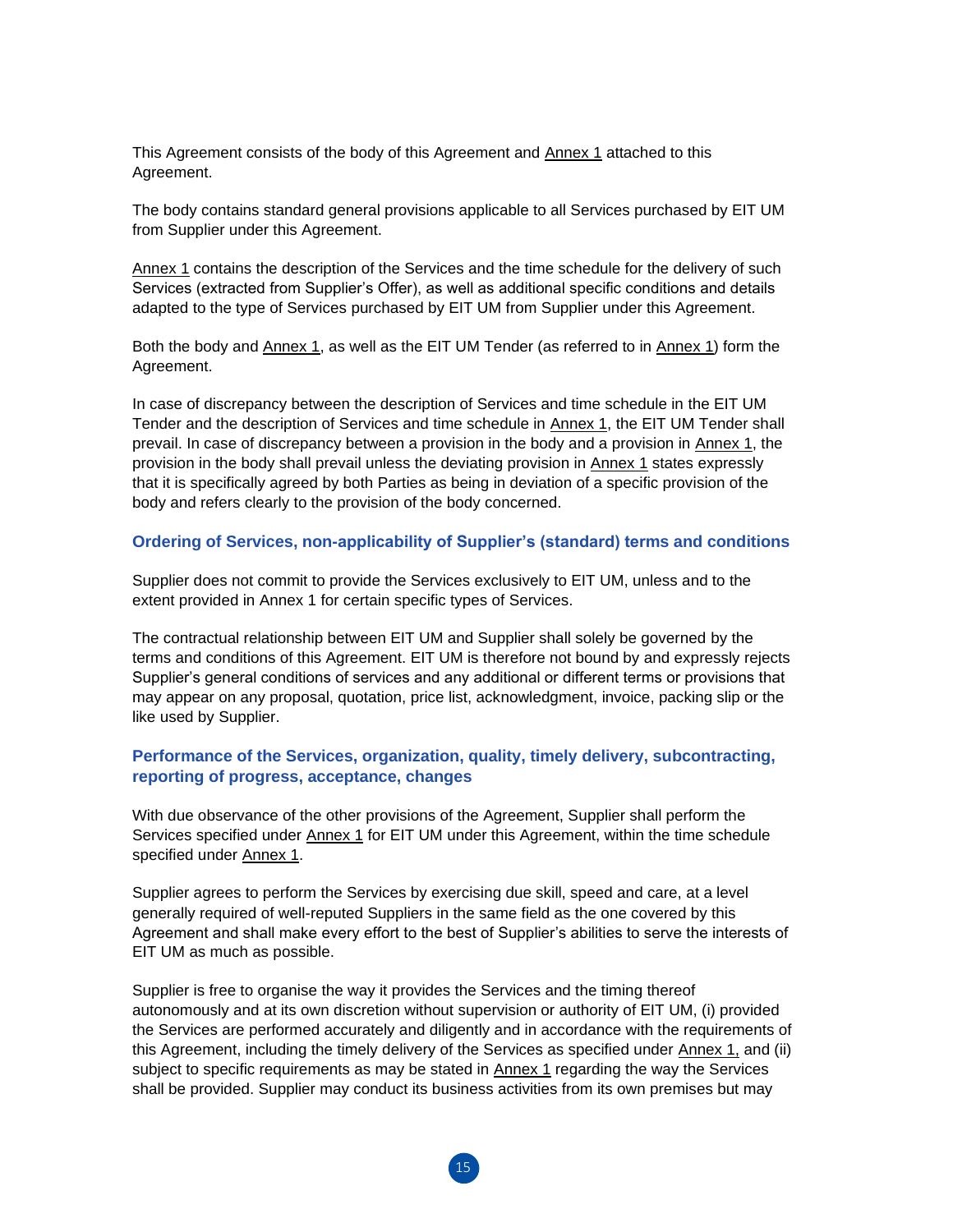This Agreement consists of the body of this Agreement and Annex 1 attached to this Agreement.

The body contains standard general provisions applicable to all Services purchased by EIT UM from Supplier under this Agreement.

Annex 1 contains the description of the Services and the time schedule for the delivery of such Services (extracted from Supplier's Offer), as well as additional specific conditions and details adapted to the type of Services purchased by EIT UM from Supplier under this Agreement.

Both the body and Annex 1, as well as the EIT UM Tender (as referred to in Annex 1) form the Agreement.

In case of discrepancy between the description of Services and time schedule in the EIT UM Tender and the description of Services and time schedule in Annex 1, the EIT UM Tender shall prevail. In case of discrepancy between a provision in the body and a provision in Annex 1, the provision in the body shall prevail unless the deviating provision in Annex 1 states expressly that it is specifically agreed by both Parties as being in deviation of a specific provision of the body and refers clearly to the provision of the body concerned.

#### **Ordering of Services, non-applicability of Supplier's (standard) terms and conditions**

Supplier does not commit to provide the Services exclusively to EIT UM, unless and to the extent provided in Annex 1 for certain specific types of Services.

The contractual relationship between EIT UM and Supplier shall solely be governed by the terms and conditions of this Agreement. EIT UM is therefore not bound by and expressly rejects Supplier's general conditions of services and any additional or different terms or provisions that may appear on any proposal, quotation, price list, acknowledgment, invoice, packing slip or the like used by Supplier.

#### **Performance of the Services, organization, quality, timely delivery, subcontracting, reporting of progress, acceptance, changes**

With due observance of the other provisions of the Agreement, Supplier shall perform the Services specified under Annex 1 for EIT UM under this Agreement, within the time schedule specified under Annex 1.

Supplier agrees to perform the Services by exercising due skill, speed and care, at a level generally required of well-reputed Suppliers in the same field as the one covered by this Agreement and shall make every effort to the best of Supplier's abilities to serve the interests of EIT UM as much as possible.

Supplier is free to organise the way it provides the Services and the timing thereof autonomously and at its own discretion without supervision or authority of EIT UM, (i) provided the Services are performed accurately and diligently and in accordance with the requirements of this Agreement, including the timely delivery of the Services as specified under Annex 1, and (ii) subject to specific requirements as may be stated in **Annex 1** regarding the way the Services shall be provided. Supplier may conduct its business activities from its own premises but may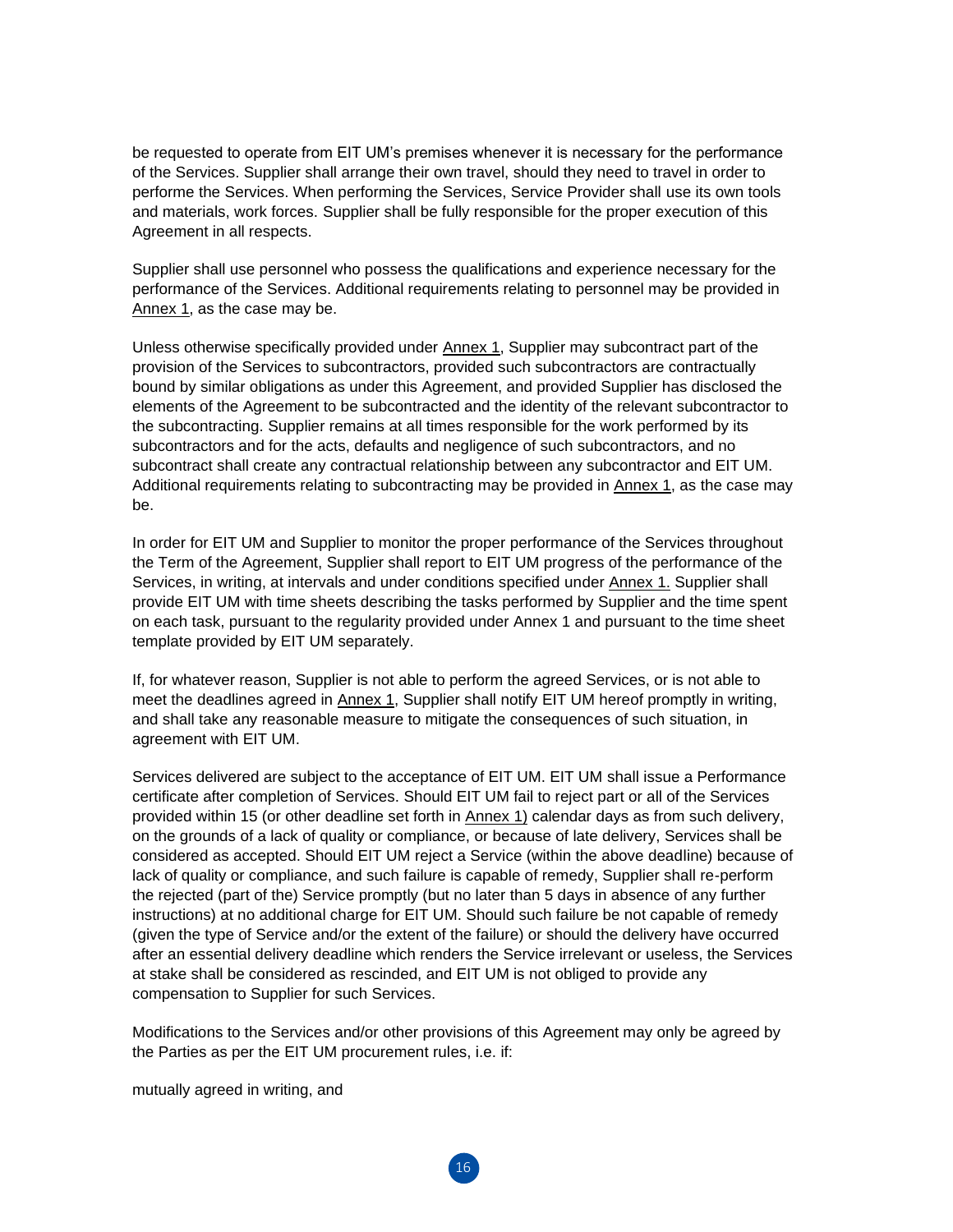be requested to operate from EIT UM's premises whenever it is necessary for the performance of the Services. Supplier shall arrange their own travel, should they need to travel in order to performe the Services. When performing the Services, Service Provider shall use its own tools and materials, work forces. Supplier shall be fully responsible for the proper execution of this Agreement in all respects.

Supplier shall use personnel who possess the qualifications and experience necessary for the performance of the Services. Additional requirements relating to personnel may be provided in Annex 1, as the case may be.

Unless otherwise specifically provided under Annex 1, Supplier may subcontract part of the provision of the Services to subcontractors, provided such subcontractors are contractually bound by similar obligations as under this Agreement, and provided Supplier has disclosed the elements of the Agreement to be subcontracted and the identity of the relevant subcontractor to the subcontracting. Supplier remains at all times responsible for the work performed by its subcontractors and for the acts, defaults and negligence of such subcontractors, and no subcontract shall create any contractual relationship between any subcontractor and EIT UM. Additional requirements relating to subcontracting may be provided in Annex 1, as the case may be.

In order for EIT UM and Supplier to monitor the proper performance of the Services throughout the Term of the Agreement, Supplier shall report to EIT UM progress of the performance of the Services, in writing, at intervals and under conditions specified under Annex 1. Supplier shall provide EIT UM with time sheets describing the tasks performed by Supplier and the time spent on each task, pursuant to the regularity provided under Annex 1 and pursuant to the time sheet template provided by EIT UM separately.

If, for whatever reason, Supplier is not able to perform the agreed Services, or is not able to meet the deadlines agreed in Annex 1, Supplier shall notify EIT UM hereof promptly in writing, and shall take any reasonable measure to mitigate the consequences of such situation, in agreement with EIT UM.

Services delivered are subject to the acceptance of EIT UM. EIT UM shall issue a Performance certificate after completion of Services. Should EIT UM fail to reject part or all of the Services provided within 15 (or other deadline set forth in Annex 1) calendar days as from such delivery, on the grounds of a lack of quality or compliance, or because of late delivery, Services shall be considered as accepted. Should EIT UM reject a Service (within the above deadline) because of lack of quality or compliance, and such failure is capable of remedy, Supplier shall re-perform the rejected (part of the) Service promptly (but no later than 5 days in absence of any further instructions) at no additional charge for EIT UM. Should such failure be not capable of remedy (given the type of Service and/or the extent of the failure) or should the delivery have occurred after an essential delivery deadline which renders the Service irrelevant or useless, the Services at stake shall be considered as rescinded, and EIT UM is not obliged to provide any compensation to Supplier for such Services.

Modifications to the Services and/or other provisions of this Agreement may only be agreed by the Parties as per the EIT UM procurement rules, i.e. if:

mutually agreed in writing, and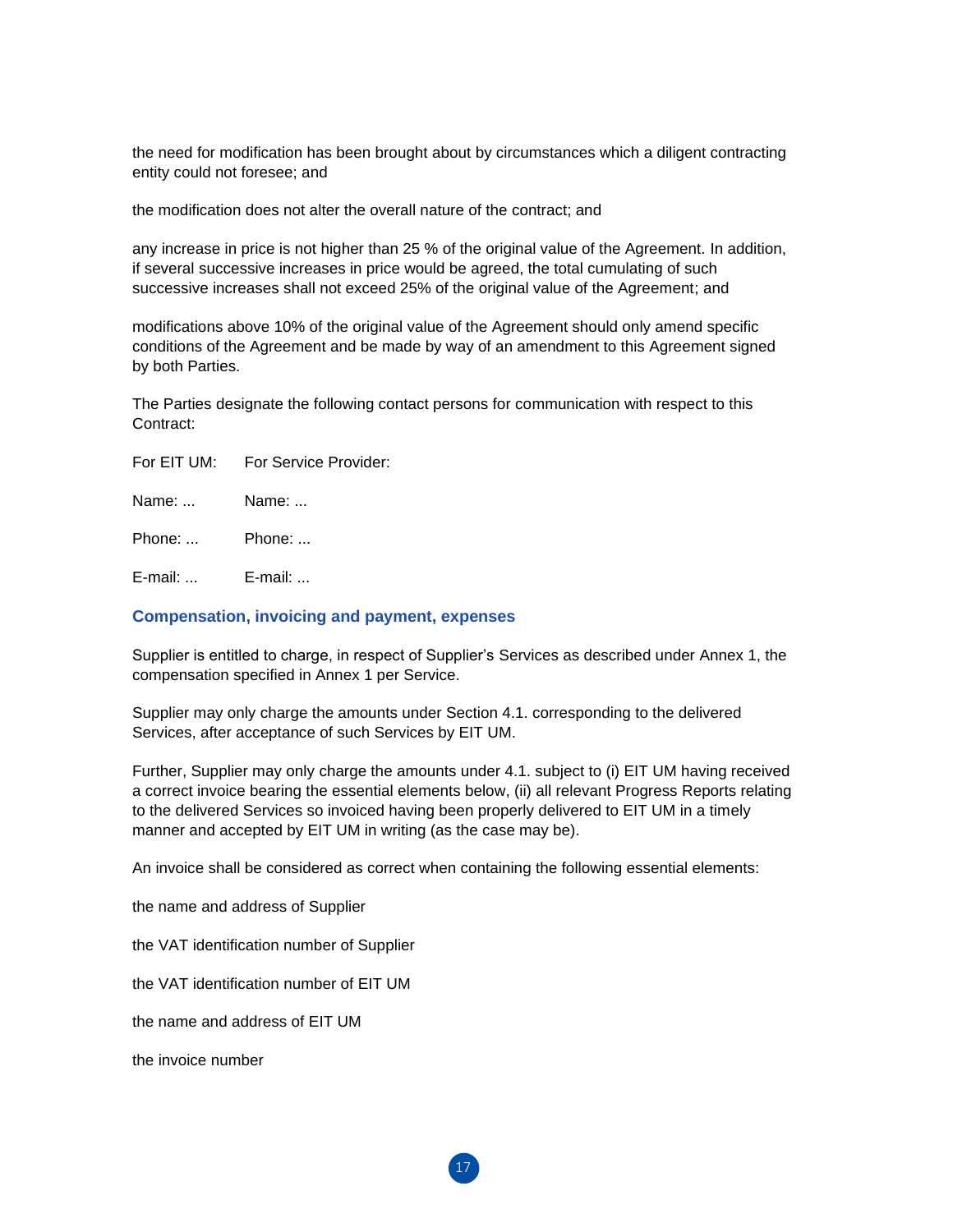the need for modification has been brought about by circumstances which a diligent contracting entity could not foresee; and

the modification does not alter the overall nature of the contract; and

any increase in price is not higher than 25 % of the original value of the Agreement. In addition, if several successive increases in price would be agreed, the total cumulating of such successive increases shall not exceed 25% of the original value of the Agreement; and

modifications above 10% of the original value of the Agreement should only amend specific conditions of the Agreement and be made by way of an amendment to this Agreement signed by both Parties.

The Parties designate the following contact persons for communication with respect to this Contract:

Name: ... Name: ...

Phone: ... Phone: ...

E-mail: ... E-mail: ...

#### **Compensation, invoicing and payment, expenses**

Supplier is entitled to charge, in respect of Supplier's Services as described under Annex 1, the compensation specified in Annex 1 per Service.

Supplier may only charge the amounts under Section 4.1. corresponding to the delivered Services, after acceptance of such Services by EIT UM.

Further, Supplier may only charge the amounts under 4.1. subject to (i) EIT UM having received a correct invoice bearing the essential elements below, (ii) all relevant Progress Reports relating to the delivered Services so invoiced having been properly delivered to EIT UM in a timely manner and accepted by EIT UM in writing (as the case may be).

An invoice shall be considered as correct when containing the following essential elements:

the name and address of Supplier

the VAT identification number of Supplier

the VAT identification number of EIT UM

the name and address of EIT UM

the invoice number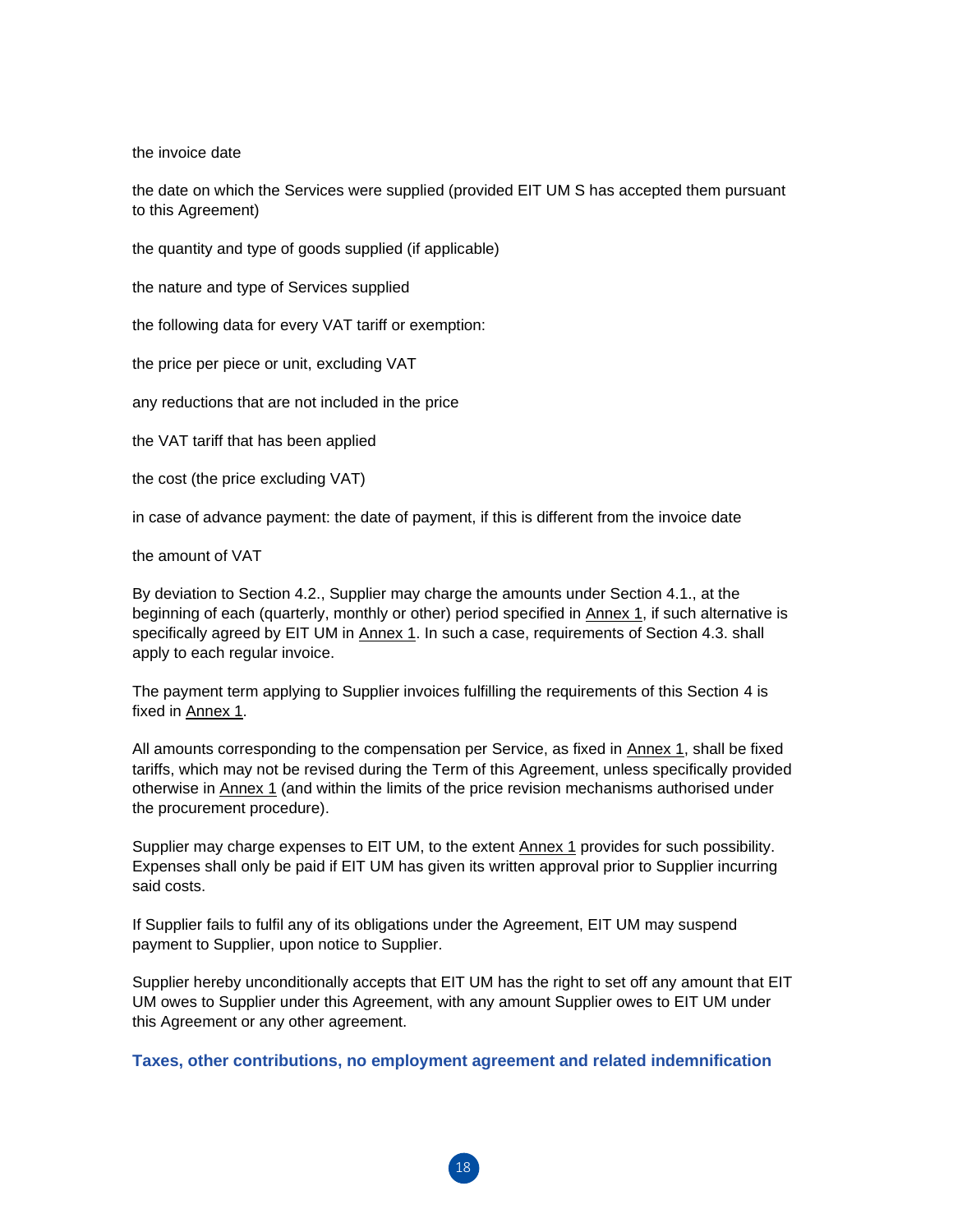the invoice date

the date on which the Services were supplied (provided EIT UM S has accepted them pursuant to this Agreement)

the quantity and type of goods supplied (if applicable)

the nature and type of Services supplied

the following data for every VAT tariff or exemption:

the price per piece or unit, excluding VAT

any reductions that are not included in the price

the VAT tariff that has been applied

the cost (the price excluding VAT)

in case of advance payment: the date of payment, if this is different from the invoice date

the amount of VAT

By deviation to Section 4.2., Supplier may charge the amounts under Section 4.1., at the beginning of each (quarterly, monthly or other) period specified in Annex 1, if such alternative is specifically agreed by EIT UM in Annex 1. In such a case, requirements of Section 4.3. shall apply to each regular invoice.

The payment term applying to Supplier invoices fulfilling the requirements of this Section 4 is fixed in Annex 1.

All amounts corresponding to the compensation per Service, as fixed in Annex 1, shall be fixed tariffs, which may not be revised during the Term of this Agreement, unless specifically provided otherwise in Annex 1 (and within the limits of the price revision mechanisms authorised under the procurement procedure).

Supplier may charge expenses to EIT UM, to the extent Annex 1 provides for such possibility. Expenses shall only be paid if EIT UM has given its written approval prior to Supplier incurring said costs.

If Supplier fails to fulfil any of its obligations under the Agreement, EIT UM may suspend payment to Supplier, upon notice to Supplier.

Supplier hereby unconditionally accepts that EIT UM has the right to set off any amount that EIT UM owes to Supplier under this Agreement, with any amount Supplier owes to EIT UM under this Agreement or any other agreement.

**Taxes, other contributions, no employment agreement and related indemnification**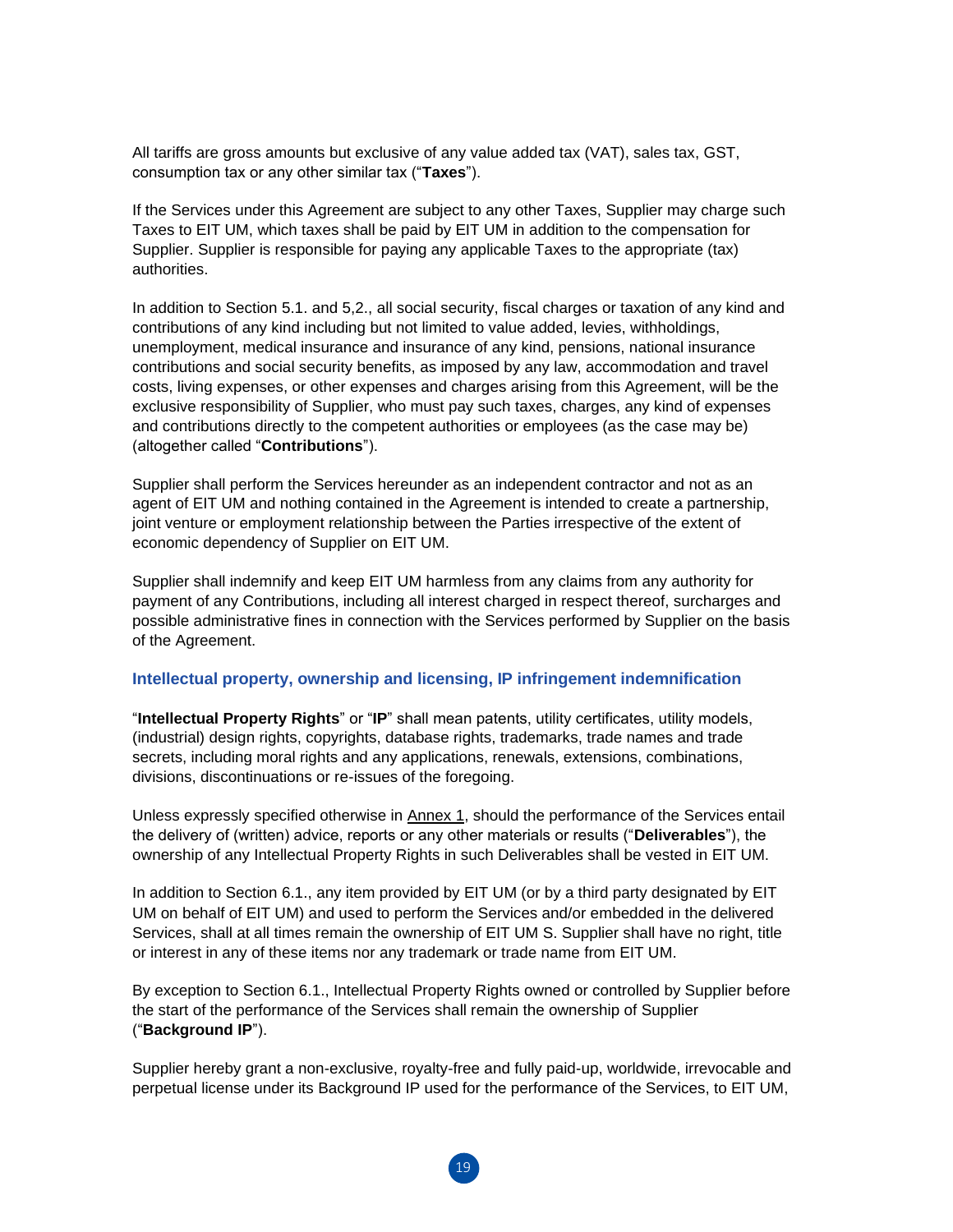All tariffs are gross amounts but exclusive of any value added tax (VAT), sales tax, GST, consumption tax or any other similar tax ("**Taxes**").

If the Services under this Agreement are subject to any other Taxes, Supplier may charge such Taxes to EIT UM, which taxes shall be paid by EIT UM in addition to the compensation for Supplier. Supplier is responsible for paying any applicable Taxes to the appropriate (tax) authorities.

In addition to Section 5.1. and 5,2., all social security, fiscal charges or taxation of any kind and contributions of any kind including but not limited to value added, levies, withholdings, unemployment, medical insurance and insurance of any kind, pensions, national insurance contributions and social security benefits, as imposed by any law, accommodation and travel costs, living expenses, or other expenses and charges arising from this Agreement, will be the exclusive responsibility of Supplier, who must pay such taxes, charges, any kind of expenses and contributions directly to the competent authorities or employees (as the case may be) (altogether called "**Contributions**").

Supplier shall perform the Services hereunder as an independent contractor and not as an agent of EIT UM and nothing contained in the Agreement is intended to create a partnership, joint venture or employment relationship between the Parties irrespective of the extent of economic dependency of Supplier on EIT UM.

Supplier shall indemnify and keep EIT UM harmless from any claims from any authority for payment of any Contributions, including all interest charged in respect thereof, surcharges and possible administrative fines in connection with the Services performed by Supplier on the basis of the Agreement.

#### **Intellectual property, ownership and licensing, IP infringement indemnification**

"**Intellectual Property Rights**" or "**IP**" shall mean patents, utility certificates, utility models, (industrial) design rights, copyrights, database rights, trademarks, trade names and trade secrets, including moral rights and any applications, renewals, extensions, combinations, divisions, discontinuations or re-issues of the foregoing.

Unless expressly specified otherwise in Annex 1, should the performance of the Services entail the delivery of (written) advice, reports or any other materials or results ("**Deliverables**"), the ownership of any Intellectual Property Rights in such Deliverables shall be vested in EIT UM.

In addition to Section 6.1., any item provided by EIT UM (or by a third party designated by EIT UM on behalf of EIT UM) and used to perform the Services and/or embedded in the delivered Services, shall at all times remain the ownership of EIT UM S. Supplier shall have no right, title or interest in any of these items nor any trademark or trade name from EIT UM.

By exception to Section 6.1., Intellectual Property Rights owned or controlled by Supplier before the start of the performance of the Services shall remain the ownership of Supplier ("**Background IP**").

Supplier hereby grant a non-exclusive, royalty-free and fully paid-up, worldwide, irrevocable and perpetual license under its Background IP used for the performance of the Services, to EIT UM,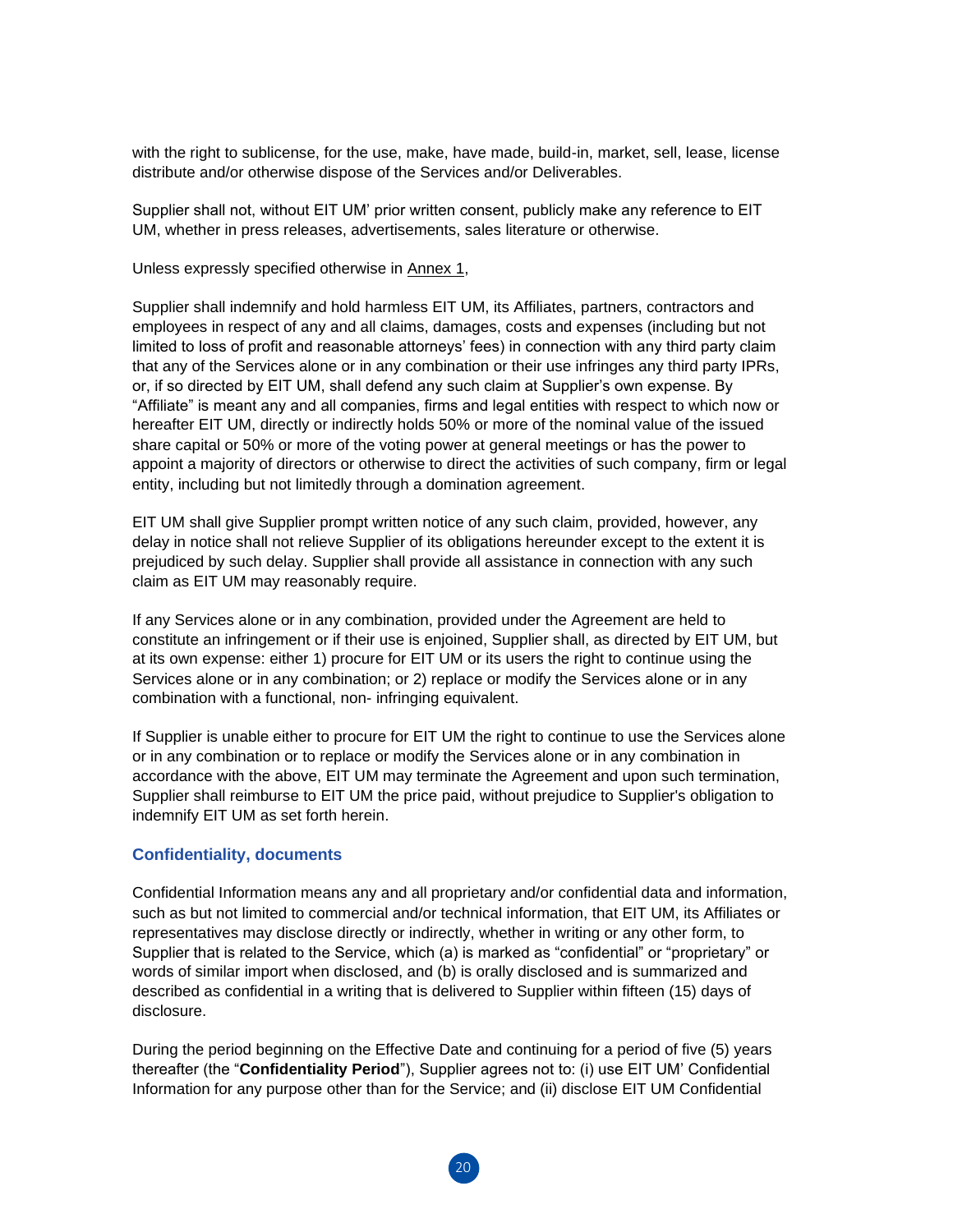with the right to sublicense, for the use, make, have made, build-in, market, sell, lease, license distribute and/or otherwise dispose of the Services and/or Deliverables.

Supplier shall not, without EIT UM' prior written consent, publicly make any reference to EIT UM, whether in press releases, advertisements, sales literature or otherwise.

Unless expressly specified otherwise in Annex 1,

Supplier shall indemnify and hold harmless EIT UM, its Affiliates, partners, contractors and employees in respect of any and all claims, damages, costs and expenses (including but not limited to loss of profit and reasonable attorneys' fees) in connection with any third party claim that any of the Services alone or in any combination or their use infringes any third party IPRs, or, if so directed by EIT UM, shall defend any such claim at Supplier's own expense. By "Affiliate" is meant any and all companies, firms and legal entities with respect to which now or hereafter EIT UM, directly or indirectly holds 50% or more of the nominal value of the issued share capital or 50% or more of the voting power at general meetings or has the power to appoint a majority of directors or otherwise to direct the activities of such company, firm or legal entity, including but not limitedly through a domination agreement.

EIT UM shall give Supplier prompt written notice of any such claim, provided, however, any delay in notice shall not relieve Supplier of its obligations hereunder except to the extent it is prejudiced by such delay. Supplier shall provide all assistance in connection with any such claim as EIT UM may reasonably require.

If any Services alone or in any combination, provided under the Agreement are held to constitute an infringement or if their use is enjoined, Supplier shall, as directed by EIT UM, but at its own expense: either 1) procure for EIT UM or its users the right to continue using the Services alone or in any combination; or 2) replace or modify the Services alone or in any combination with a functional, non- infringing equivalent.

If Supplier is unable either to procure for EIT UM the right to continue to use the Services alone or in any combination or to replace or modify the Services alone or in any combination in accordance with the above, EIT UM may terminate the Agreement and upon such termination, Supplier shall reimburse to EIT UM the price paid, without prejudice to Supplier's obligation to indemnify EIT UM as set forth herein.

#### **Confidentiality, documents**

Confidential Information means any and all proprietary and/or confidential data and information, such as but not limited to commercial and/or technical information, that EIT UM, its Affiliates or representatives may disclose directly or indirectly, whether in writing or any other form, to Supplier that is related to the Service, which (a) is marked as "confidential" or "proprietary" or words of similar import when disclosed, and (b) is orally disclosed and is summarized and described as confidential in a writing that is delivered to Supplier within fifteen (15) days of disclosure.

During the period beginning on the Effective Date and continuing for a period of five (5) years thereafter (the "**Confidentiality Period**"), Supplier agrees not to: (i) use EIT UM' Confidential Information for any purpose other than for the Service; and (ii) disclose EIT UM Confidential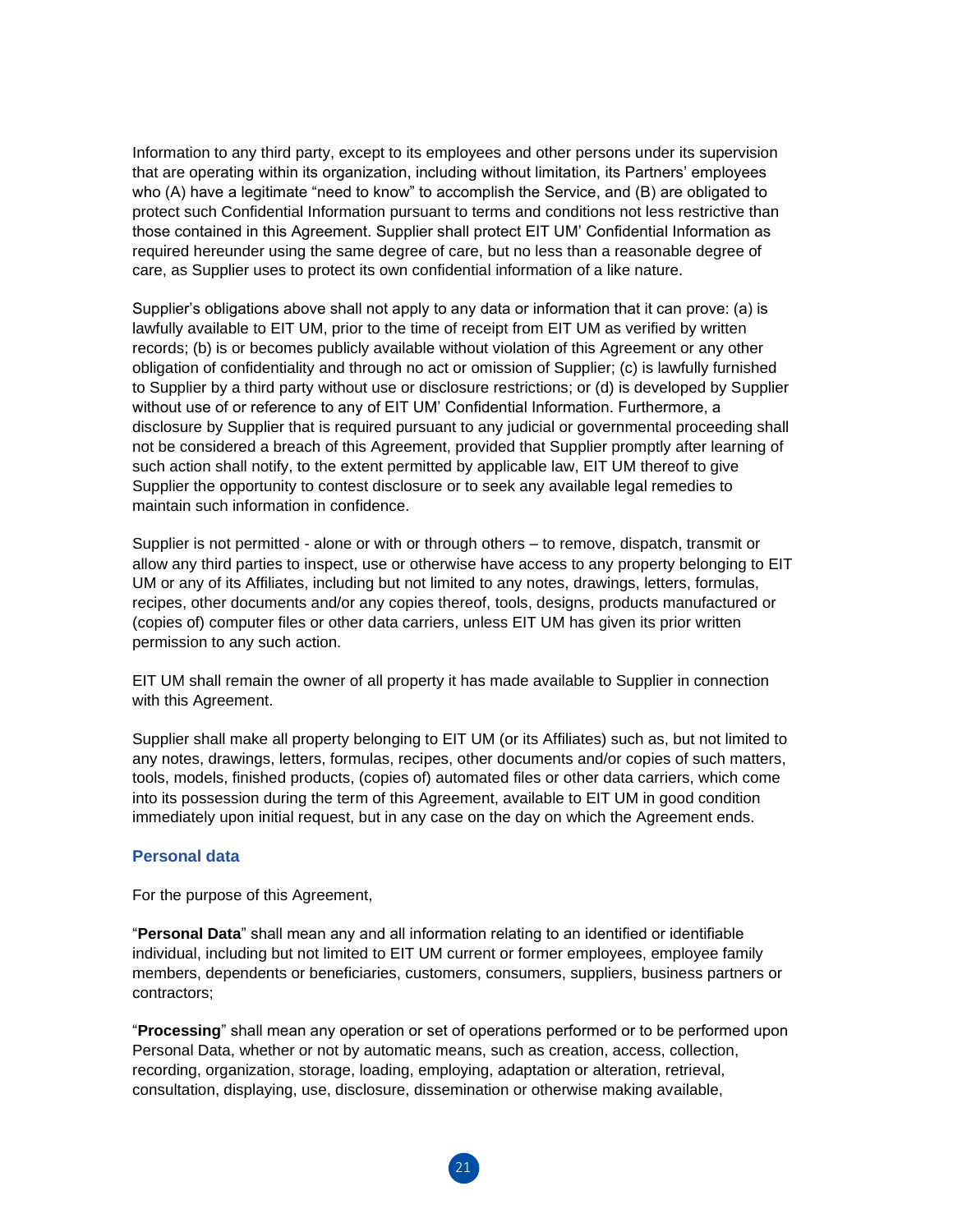Information to any third party, except to its employees and other persons under its supervision that are operating within its organization, including without limitation, its Partners' employees who (A) have a legitimate "need to know" to accomplish the Service, and (B) are obligated to protect such Confidential Information pursuant to terms and conditions not less restrictive than those contained in this Agreement. Supplier shall protect EIT UM' Confidential Information as required hereunder using the same degree of care, but no less than a reasonable degree of care, as Supplier uses to protect its own confidential information of a like nature.

Supplier's obligations above shall not apply to any data or information that it can prove: (a) is lawfully available to EIT UM, prior to the time of receipt from EIT UM as verified by written records; (b) is or becomes publicly available without violation of this Agreement or any other obligation of confidentiality and through no act or omission of Supplier; (c) is lawfully furnished to Supplier by a third party without use or disclosure restrictions; or (d) is developed by Supplier without use of or reference to any of EIT UM' Confidential Information. Furthermore, a disclosure by Supplier that is required pursuant to any judicial or governmental proceeding shall not be considered a breach of this Agreement, provided that Supplier promptly after learning of such action shall notify, to the extent permitted by applicable law, EIT UM thereof to give Supplier the opportunity to contest disclosure or to seek any available legal remedies to maintain such information in confidence.

Supplier is not permitted - alone or with or through others – to remove, dispatch, transmit or allow any third parties to inspect, use or otherwise have access to any property belonging to EIT UM or any of its Affiliates, including but not limited to any notes, drawings, letters, formulas, recipes, other documents and/or any copies thereof, tools, designs, products manufactured or (copies of) computer files or other data carriers, unless EIT UM has given its prior written permission to any such action.

EIT UM shall remain the owner of all property it has made available to Supplier in connection with this Agreement.

Supplier shall make all property belonging to EIT UM (or its Affiliates) such as, but not limited to any notes, drawings, letters, formulas, recipes, other documents and/or copies of such matters, tools, models, finished products, (copies of) automated files or other data carriers, which come into its possession during the term of this Agreement, available to EIT UM in good condition immediately upon initial request, but in any case on the day on which the Agreement ends.

#### **Personal data**

For the purpose of this Agreement,

"**Personal Data**" shall mean any and all information relating to an identified or identifiable individual, including but not limited to EIT UM current or former employees, employee family members, dependents or beneficiaries, customers, consumers, suppliers, business partners or contractors;

"**Processing**" shall mean any operation or set of operations performed or to be performed upon Personal Data, whether or not by automatic means, such as creation, access, collection, recording, organization, storage, loading, employing, adaptation or alteration, retrieval, consultation, displaying, use, disclosure, dissemination or otherwise making available,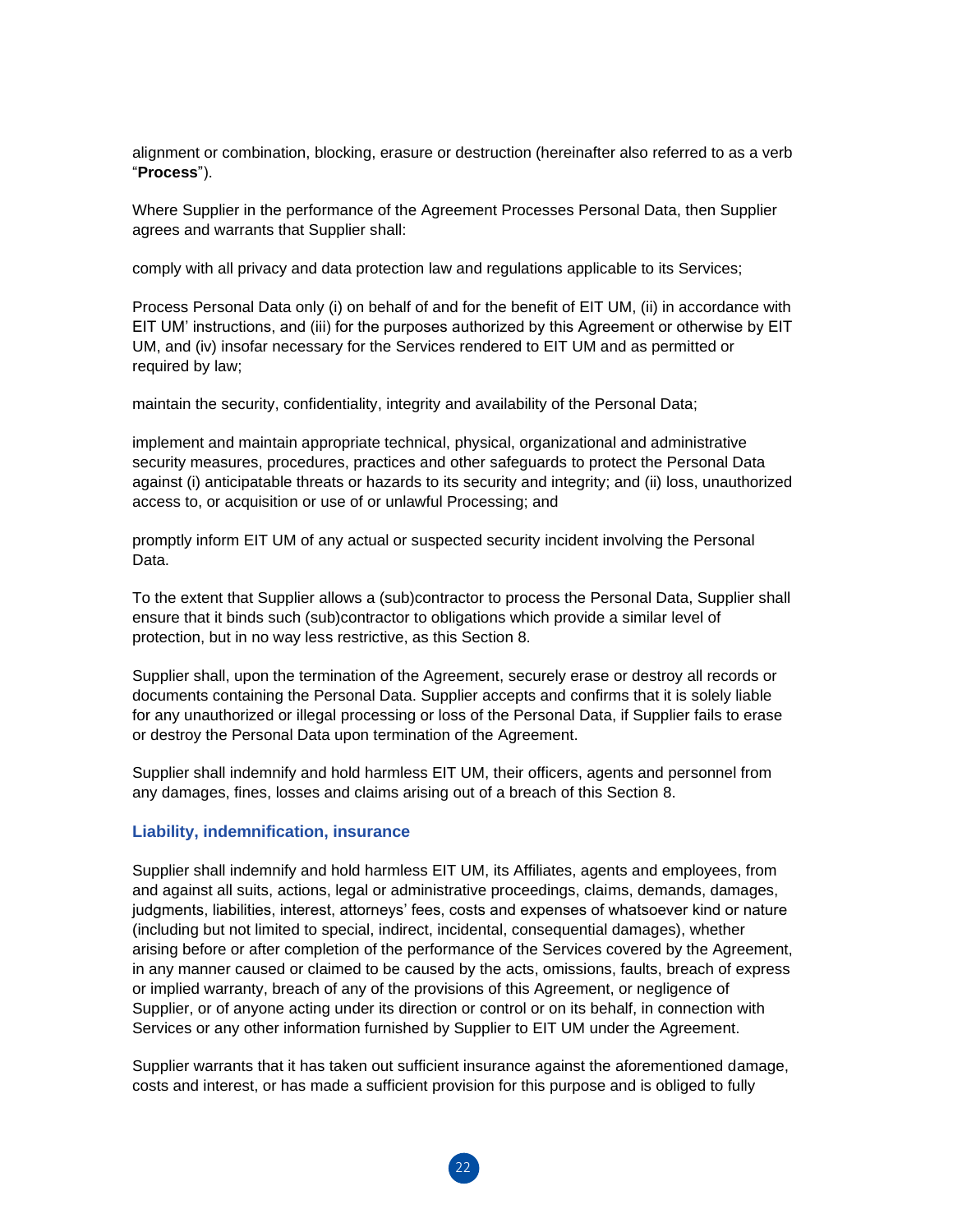alignment or combination, blocking, erasure or destruction (hereinafter also referred to as a verb "**Process**").

Where Supplier in the performance of the Agreement Processes Personal Data, then Supplier agrees and warrants that Supplier shall:

comply with all privacy and data protection law and regulations applicable to its Services;

Process Personal Data only (i) on behalf of and for the benefit of EIT UM, (ii) in accordance with EIT UM' instructions, and (iii) for the purposes authorized by this Agreement or otherwise by EIT UM, and (iv) insofar necessary for the Services rendered to EIT UM and as permitted or required by law;

maintain the security, confidentiality, integrity and availability of the Personal Data;

implement and maintain appropriate technical, physical, organizational and administrative security measures, procedures, practices and other safeguards to protect the Personal Data against (i) anticipatable threats or hazards to its security and integrity; and (ii) loss, unauthorized access to, or acquisition or use of or unlawful Processing; and

promptly inform EIT UM of any actual or suspected security incident involving the Personal Data.

To the extent that Supplier allows a (sub)contractor to process the Personal Data, Supplier shall ensure that it binds such (sub)contractor to obligations which provide a similar level of protection, but in no way less restrictive, as this Section 8.

Supplier shall, upon the termination of the Agreement, securely erase or destroy all records or documents containing the Personal Data. Supplier accepts and confirms that it is solely liable for any unauthorized or illegal processing or loss of the Personal Data, if Supplier fails to erase or destroy the Personal Data upon termination of the Agreement.

Supplier shall indemnify and hold harmless EIT UM, their officers, agents and personnel from any damages, fines, losses and claims arising out of a breach of this Section 8.

#### **Liability, indemnification, insurance**

Supplier shall indemnify and hold harmless EIT UM, its Affiliates, agents and employees, from and against all suits, actions, legal or administrative proceedings, claims, demands, damages, judgments, liabilities, interest, attorneys' fees, costs and expenses of whatsoever kind or nature (including but not limited to special, indirect, incidental, consequential damages), whether arising before or after completion of the performance of the Services covered by the Agreement, in any manner caused or claimed to be caused by the acts, omissions, faults, breach of express or implied warranty, breach of any of the provisions of this Agreement, or negligence of Supplier, or of anyone acting under its direction or control or on its behalf, in connection with Services or any other information furnished by Supplier to EIT UM under the Agreement.

Supplier warrants that it has taken out sufficient insurance against the aforementioned damage, costs and interest, or has made a sufficient provision for this purpose and is obliged to fully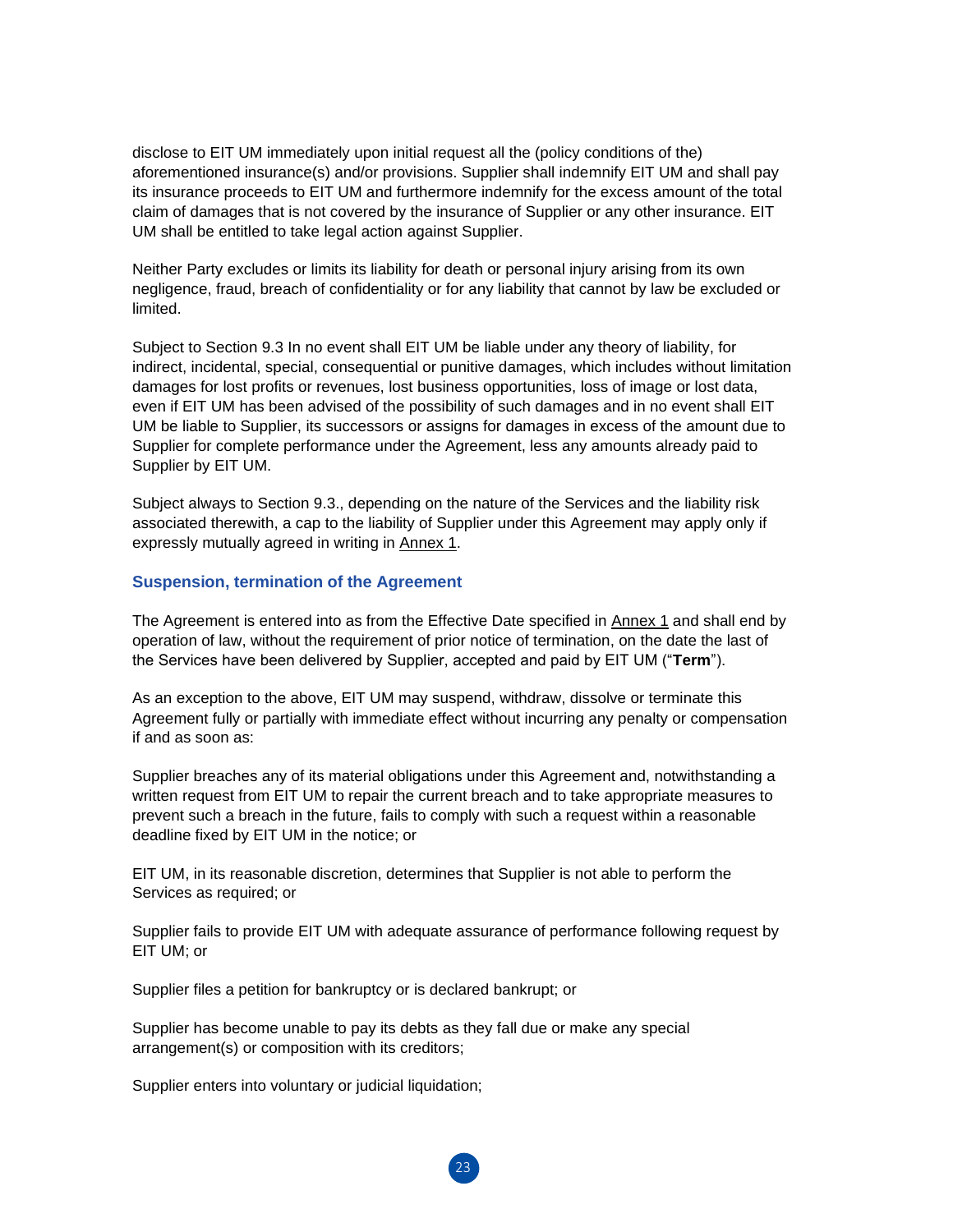disclose to EIT UM immediately upon initial request all the (policy conditions of the) aforementioned insurance(s) and/or provisions. Supplier shall indemnify EIT UM and shall pay its insurance proceeds to EIT UM and furthermore indemnify for the excess amount of the total claim of damages that is not covered by the insurance of Supplier or any other insurance. EIT UM shall be entitled to take legal action against Supplier.

Neither Party excludes or limits its liability for death or personal injury arising from its own negligence, fraud, breach of confidentiality or for any liability that cannot by law be excluded or limited.

Subject to Section 9.3 In no event shall EIT UM be liable under any theory of liability, for indirect, incidental, special, consequential or punitive damages, which includes without limitation damages for lost profits or revenues, lost business opportunities, loss of image or lost data, even if EIT UM has been advised of the possibility of such damages and in no event shall EIT UM be liable to Supplier, its successors or assigns for damages in excess of the amount due to Supplier for complete performance under the Agreement, less any amounts already paid to Supplier by EIT UM.

Subject always to Section 9.3., depending on the nature of the Services and the liability risk associated therewith, a cap to the liability of Supplier under this Agreement may apply only if expressly mutually agreed in writing in Annex 1.

#### **Suspension, termination of the Agreement**

The Agreement is entered into as from the Effective Date specified in Annex 1 and shall end by operation of law, without the requirement of prior notice of termination, on the date the last of the Services have been delivered by Supplier, accepted and paid by EIT UM ("**Term**").

As an exception to the above, EIT UM may suspend, withdraw, dissolve or terminate this Agreement fully or partially with immediate effect without incurring any penalty or compensation if and as soon as:

Supplier breaches any of its material obligations under this Agreement and, notwithstanding a written request from EIT UM to repair the current breach and to take appropriate measures to prevent such a breach in the future, fails to comply with such a request within a reasonable deadline fixed by EIT UM in the notice; or

EIT UM, in its reasonable discretion, determines that Supplier is not able to perform the Services as required; or

Supplier fails to provide EIT UM with adequate assurance of performance following request by EIT UM; or

Supplier files a petition for bankruptcy or is declared bankrupt; or

Supplier has become unable to pay its debts as they fall due or make any special arrangement(s) or composition with its creditors;

Supplier enters into voluntary or judicial liquidation;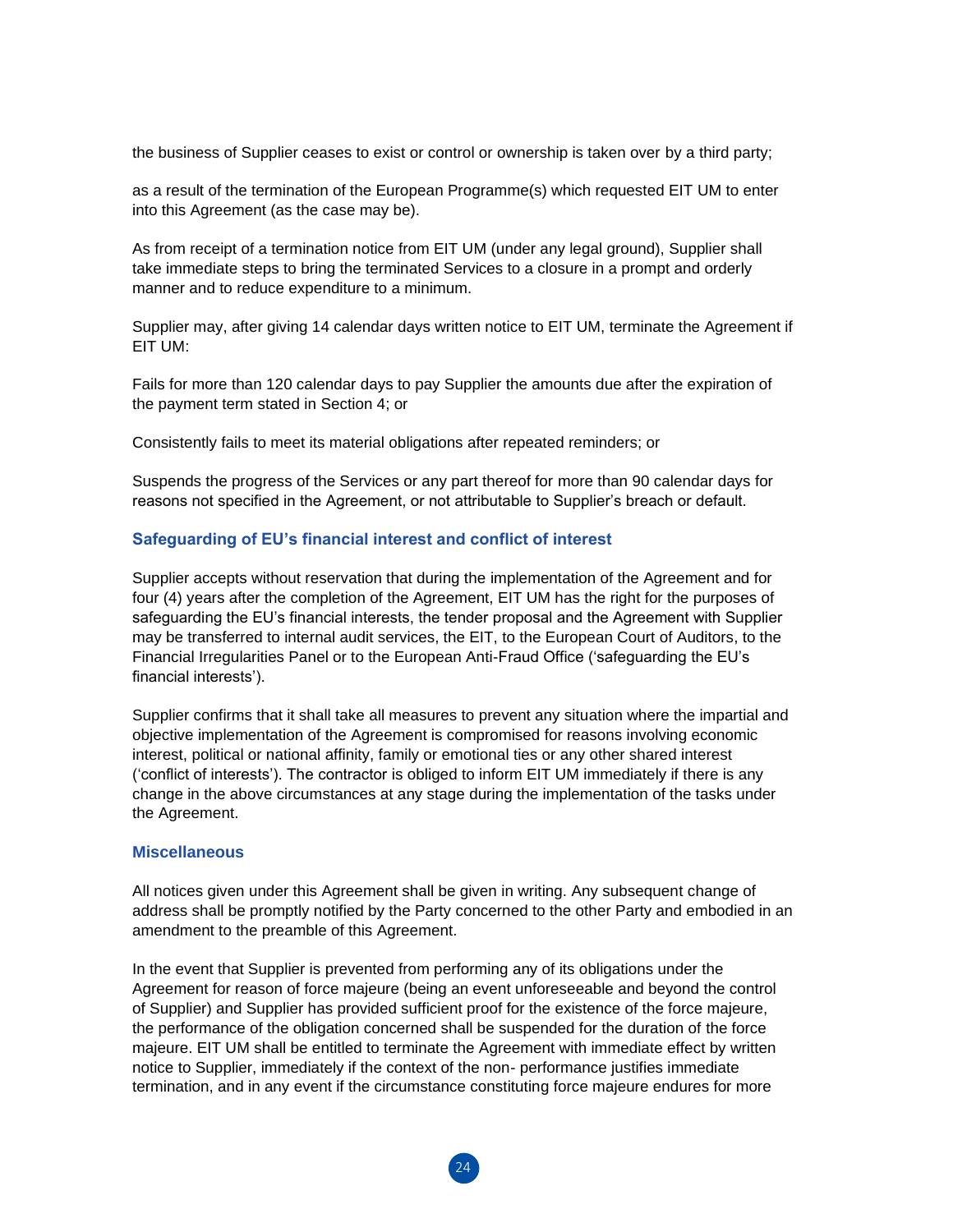the business of Supplier ceases to exist or control or ownership is taken over by a third party;

as a result of the termination of the European Programme(s) which requested EIT UM to enter into this Agreement (as the case may be).

As from receipt of a termination notice from EIT UM (under any legal ground), Supplier shall take immediate steps to bring the terminated Services to a closure in a prompt and orderly manner and to reduce expenditure to a minimum.

Supplier may, after giving 14 calendar days written notice to EIT UM, terminate the Agreement if EIT UM:

Fails for more than 120 calendar days to pay Supplier the amounts due after the expiration of the payment term stated in Section 4; or

Consistently fails to meet its material obligations after repeated reminders; or

Suspends the progress of the Services or any part thereof for more than 90 calendar days for reasons not specified in the Agreement, or not attributable to Supplier's breach or default.

#### **Safeguarding of EU's financial interest and conflict of interest**

Supplier accepts without reservation that during the implementation of the Agreement and for four (4) years after the completion of the Agreement, EIT UM has the right for the purposes of safeguarding the EU's financial interests, the tender proposal and the Agreement with Supplier may be transferred to internal audit services, the EIT, to the European Court of Auditors, to the Financial Irregularities Panel or to the European Anti-Fraud Office ('safeguarding the EU's financial interests').

Supplier confirms that it shall take all measures to prevent any situation where the impartial and objective implementation of the Agreement is compromised for reasons involving economic interest, political or national affinity, family or emotional ties or any other shared interest ('conflict of interests'). The contractor is obliged to inform EIT UM immediately if there is any change in the above circumstances at any stage during the implementation of the tasks under the Agreement.

#### **Miscellaneous**

All notices given under this Agreement shall be given in writing. Any subsequent change of address shall be promptly notified by the Party concerned to the other Party and embodied in an amendment to the preamble of this Agreement.

In the event that Supplier is prevented from performing any of its obligations under the Agreement for reason of force majeure (being an event unforeseeable and beyond the control of Supplier) and Supplier has provided sufficient proof for the existence of the force majeure, the performance of the obligation concerned shall be suspended for the duration of the force majeure. EIT UM shall be entitled to terminate the Agreement with immediate effect by written notice to Supplier, immediately if the context of the non- performance justifies immediate termination, and in any event if the circumstance constituting force majeure endures for more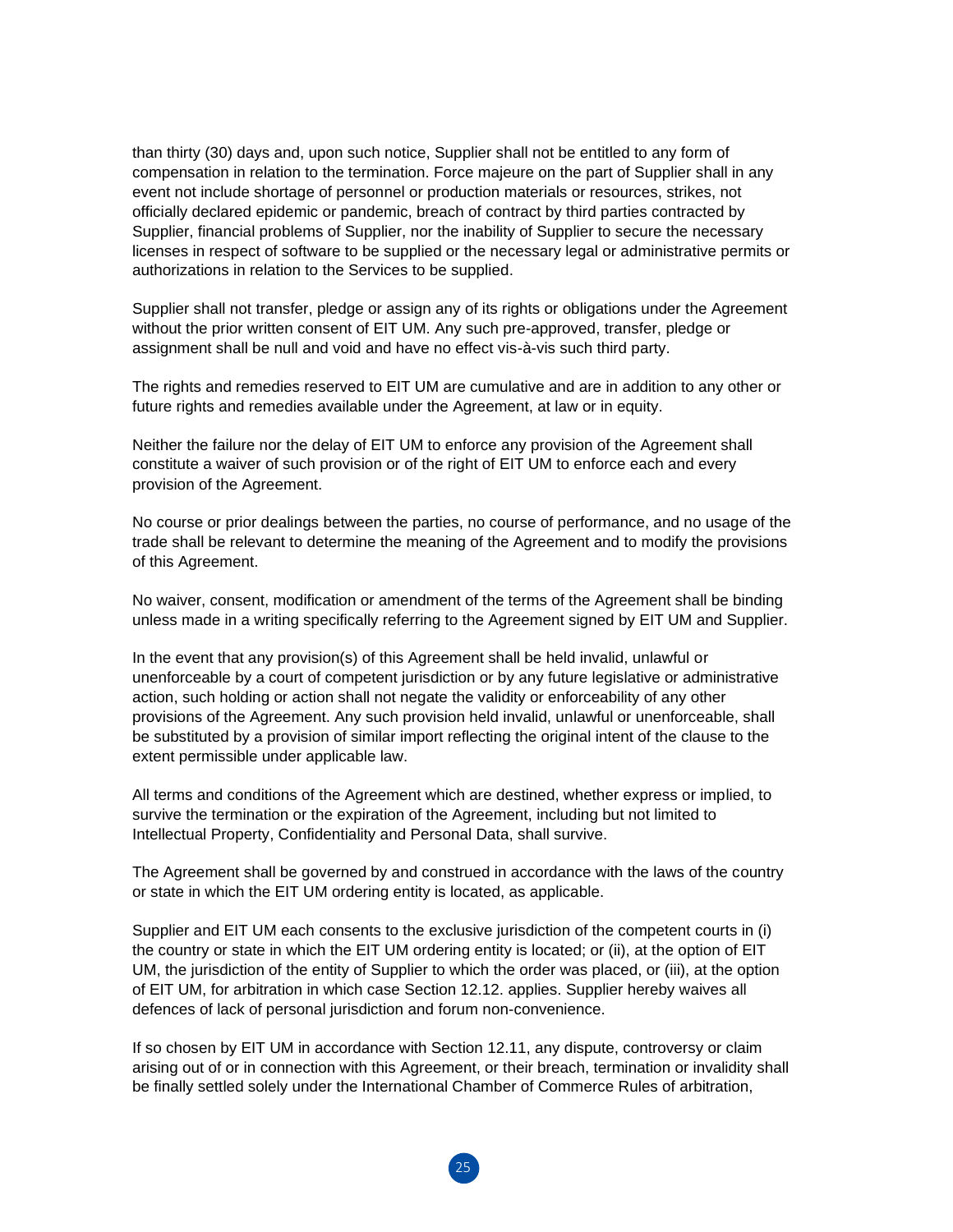than thirty (30) days and, upon such notice, Supplier shall not be entitled to any form of compensation in relation to the termination. Force majeure on the part of Supplier shall in any event not include shortage of personnel or production materials or resources, strikes, not officially declared epidemic or pandemic, breach of contract by third parties contracted by Supplier, financial problems of Supplier, nor the inability of Supplier to secure the necessary licenses in respect of software to be supplied or the necessary legal or administrative permits or authorizations in relation to the Services to be supplied.

Supplier shall not transfer, pledge or assign any of its rights or obligations under the Agreement without the prior written consent of EIT UM. Any such pre-approved, transfer, pledge or assignment shall be null and void and have no effect vis-à-vis such third party.

The rights and remedies reserved to EIT UM are cumulative and are in addition to any other or future rights and remedies available under the Agreement, at law or in equity.

Neither the failure nor the delay of EIT UM to enforce any provision of the Agreement shall constitute a waiver of such provision or of the right of EIT UM to enforce each and every provision of the Agreement.

No course or prior dealings between the parties, no course of performance, and no usage of the trade shall be relevant to determine the meaning of the Agreement and to modify the provisions of this Agreement.

No waiver, consent, modification or amendment of the terms of the Agreement shall be binding unless made in a writing specifically referring to the Agreement signed by EIT UM and Supplier.

In the event that any provision(s) of this Agreement shall be held invalid, unlawful or unenforceable by a court of competent jurisdiction or by any future legislative or administrative action, such holding or action shall not negate the validity or enforceability of any other provisions of the Agreement. Any such provision held invalid, unlawful or unenforceable, shall be substituted by a provision of similar import reflecting the original intent of the clause to the extent permissible under applicable law.

All terms and conditions of the Agreement which are destined, whether express or implied, to survive the termination or the expiration of the Agreement, including but not limited to Intellectual Property, Confidentiality and Personal Data, shall survive.

The Agreement shall be governed by and construed in accordance with the laws of the country or state in which the EIT UM ordering entity is located, as applicable.

Supplier and EIT UM each consents to the exclusive jurisdiction of the competent courts in (i) the country or state in which the EIT UM ordering entity is located; or (ii), at the option of EIT UM, the jurisdiction of the entity of Supplier to which the order was placed, or (iii), at the option of EIT UM, for arbitration in which case Section 12.12. applies. Supplier hereby waives all defences of lack of personal jurisdiction and forum non-convenience.

If so chosen by EIT UM in accordance with Section 12.11, any dispute, controversy or claim arising out of or in connection with this Agreement, or their breach, termination or invalidity shall be finally settled solely under the International Chamber of Commerce Rules of arbitration,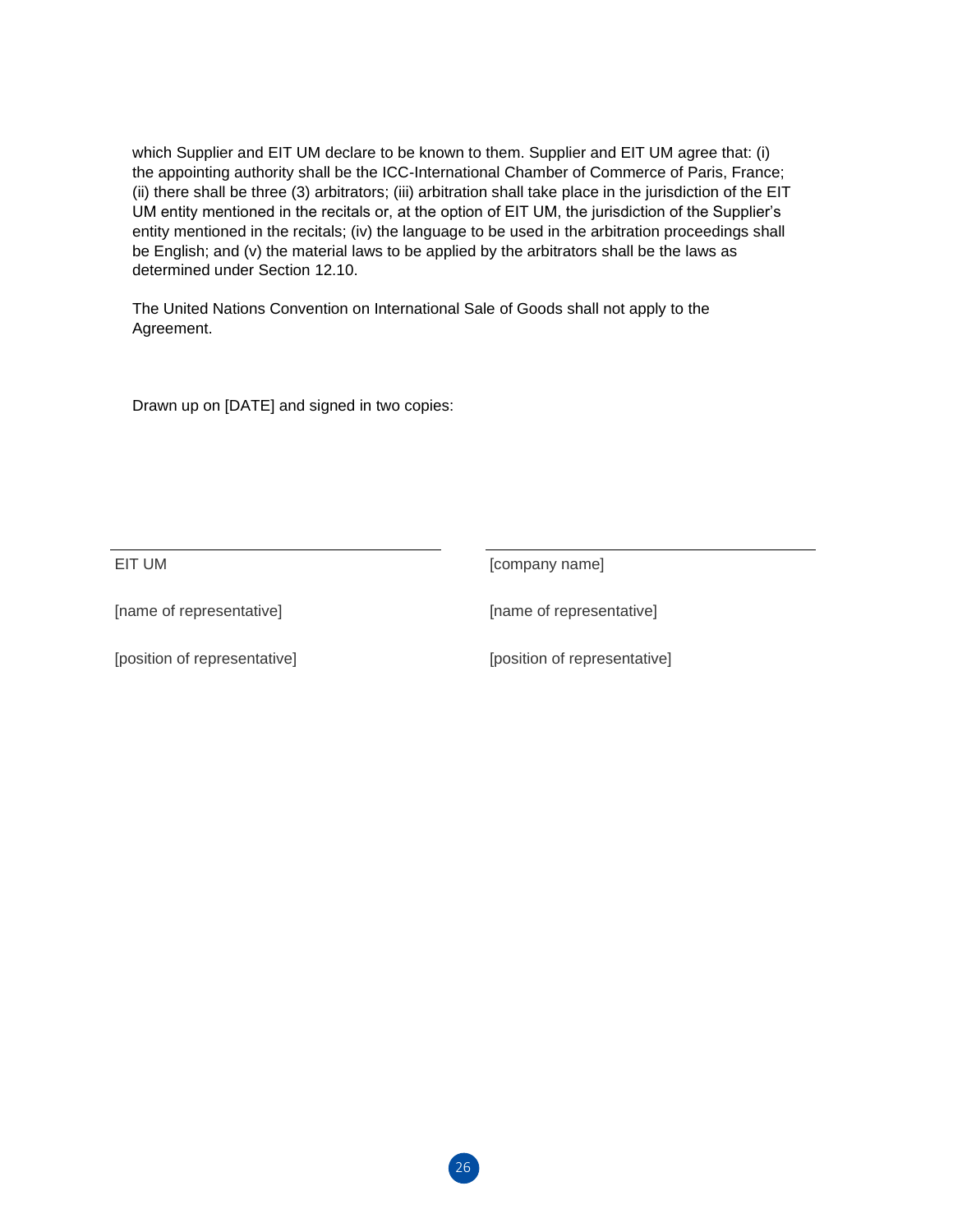which Supplier and EIT UM declare to be known to them. Supplier and EIT UM agree that: (i) the appointing authority shall be the ICC-International Chamber of Commerce of Paris, France; (ii) there shall be three (3) arbitrators; (iii) arbitration shall take place in the jurisdiction of the EIT UM entity mentioned in the recitals or, at the option of EIT UM, the jurisdiction of the Supplier's entity mentioned in the recitals; (iv) the language to be used in the arbitration proceedings shall be English; and (v) the material laws to be applied by the arbitrators shall be the laws as determined under Section 12.10.

The United Nations Convention on International Sale of Goods shall not apply to the Agreement.

Drawn up on [DATE] and signed in two copies:

EIT UM **[COMPANY NAME]** 

[name of representative] [name of representative]

[position of representative] [position of representative]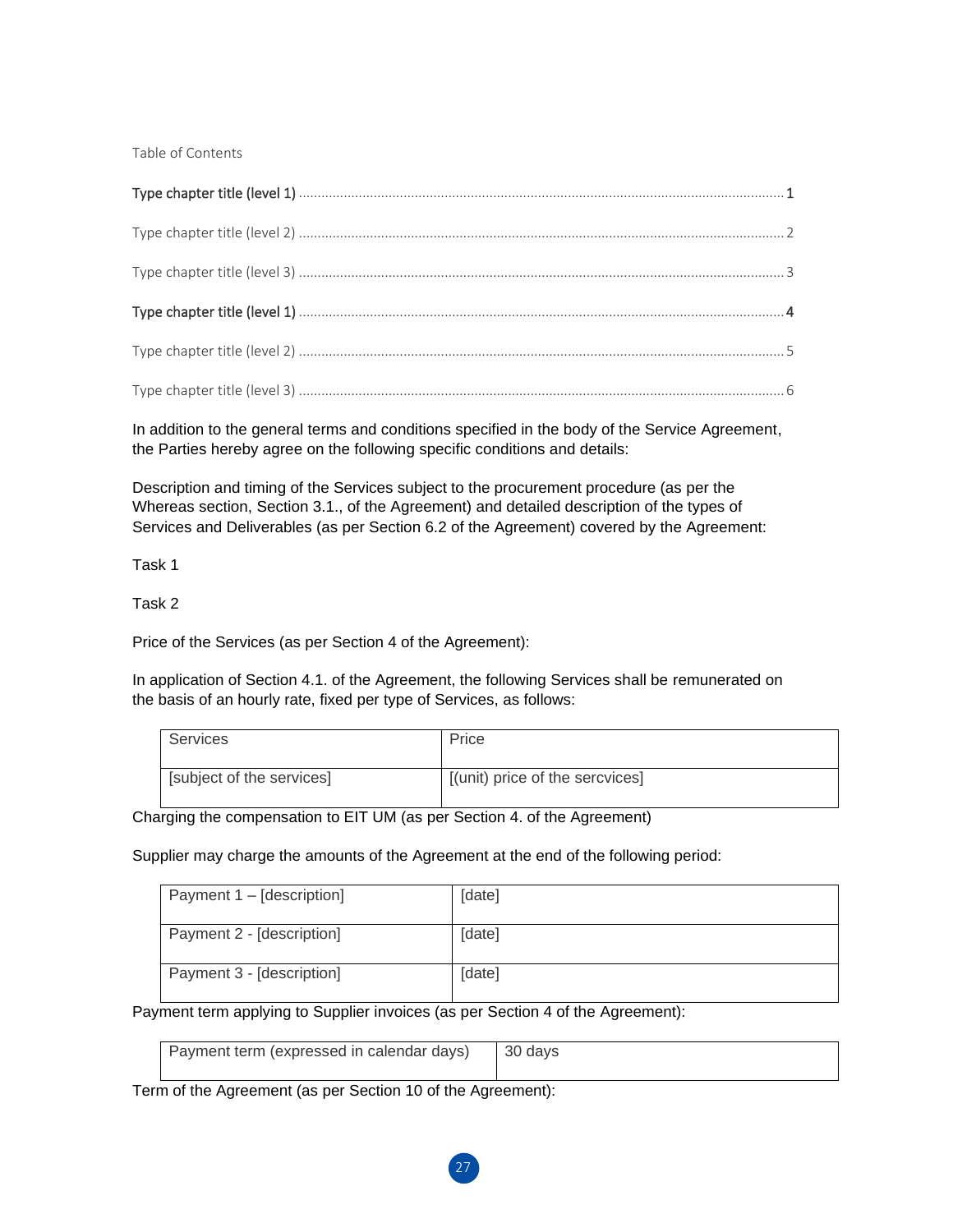Table of Contents

In addition to the general terms and conditions specified in the body of the Service Agreement, the Parties hereby agree on the following specific conditions and details:

Description and timing of the Services subject to the procurement procedure (as per the Whereas section, Section 3.1., of the Agreement) and detailed description of the types of Services and Deliverables (as per Section 6.2 of the Agreement) covered by the Agreement:

Task 1

Task 2

Price of the Services (as per Section 4 of the Agreement):

In application of Section 4.1. of the Agreement, the following Services shall be remunerated on the basis of an hourly rate, fixed per type of Services, as follows:

| Services                  | Price                           |
|---------------------------|---------------------------------|
| [subject of the services] | [(unit) price of the sercvices] |

Charging the compensation to EIT UM (as per Section 4. of the Agreement)

Supplier may charge the amounts of the Agreement at the end of the following period:

| Payment 1 – [description] | [date] |
|---------------------------|--------|
| Payment 2 - [description] | [date] |
| Payment 3 - [description] | [date] |

Payment term applying to Supplier invoices (as per Section 4 of the Agreement):

| Payment term (expressed in calendar days)   30 days |  |
|-----------------------------------------------------|--|
|                                                     |  |

Term of the Agreement (as per Section 10 of the Agreement):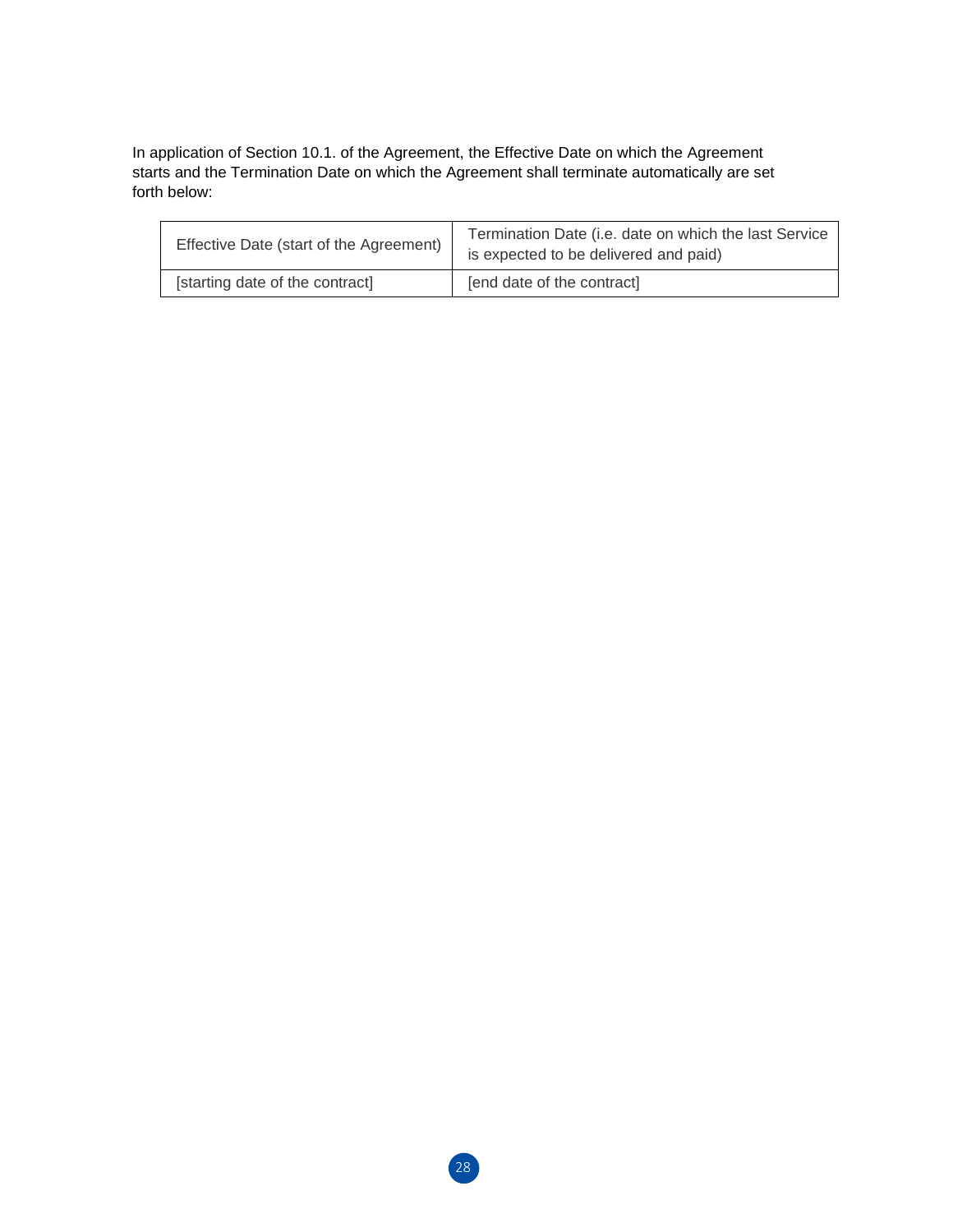In application of Section 10.1. of the Agreement, the Effective Date on which the Agreement starts and the Termination Date on which the Agreement shall terminate automatically are set forth below:

| Effective Date (start of the Agreement) | Termination Date (i.e. date on which the last Service<br>is expected to be delivered and paid) |  |
|-----------------------------------------|------------------------------------------------------------------------------------------------|--|
| [starting date of the contract]         | [end date of the contract]                                                                     |  |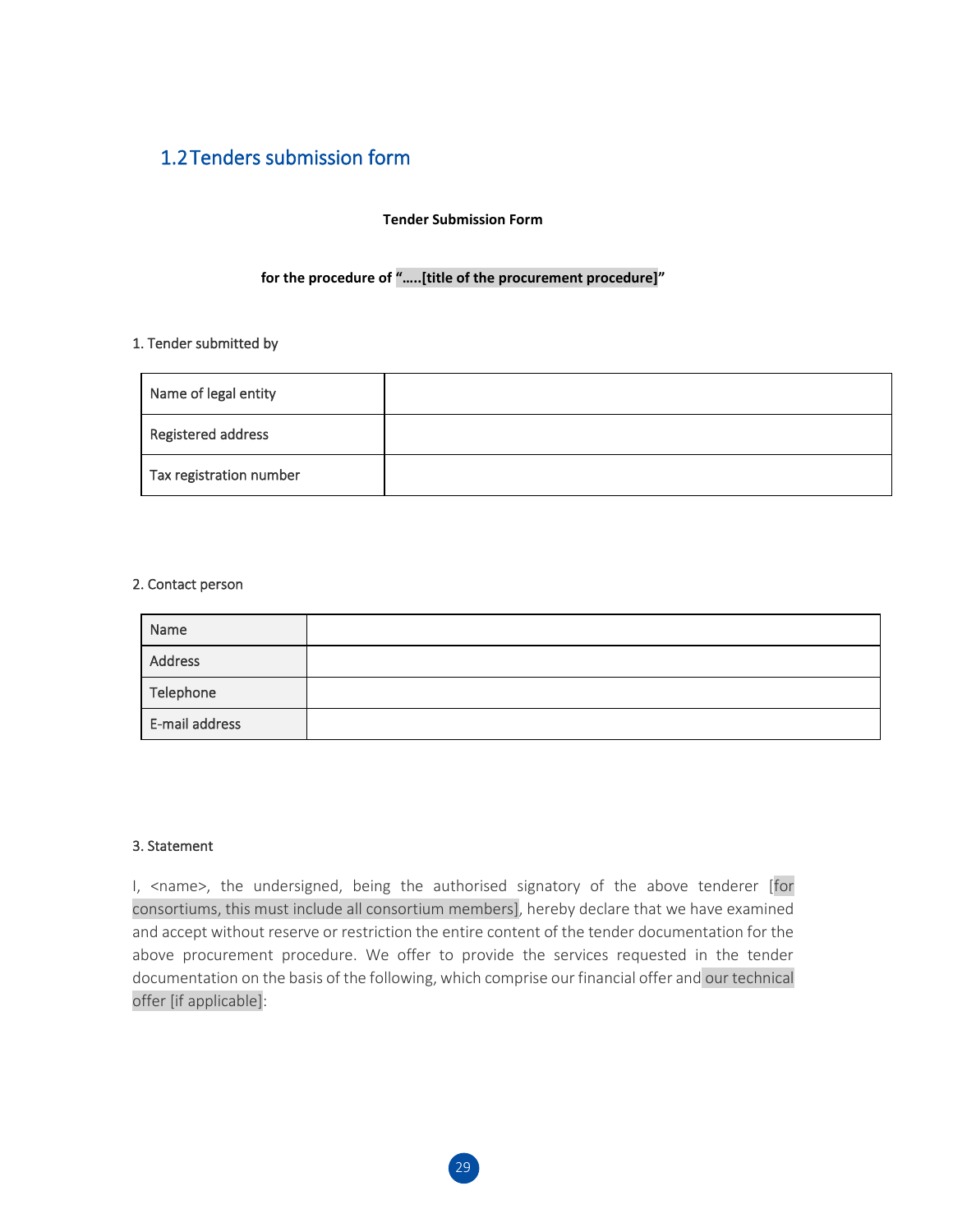## 1.2Tenders submission form

#### **Tender Submission Form**

#### **for the procedure of "…..[title of the procurement procedure]"**

#### 1. Tender submitted by

| Name of legal entity    |  |
|-------------------------|--|
| Registered address      |  |
| Tax registration number |  |

#### 2. Contact person

| Name           |  |
|----------------|--|
| Address        |  |
| Telephone      |  |
| E-mail address |  |

#### 3. Statement

I, <name>, the undersigned, being the authorised signatory of the above tenderer [for consortiums, this must include all consortium members], hereby declare that we have examined and accept without reserve or restriction the entire content of the tender documentation for the above procurement procedure. We offer to provide the services requested in the tender documentation on the basis of the following, which comprise our financial offer and our technical offer [if applicable]: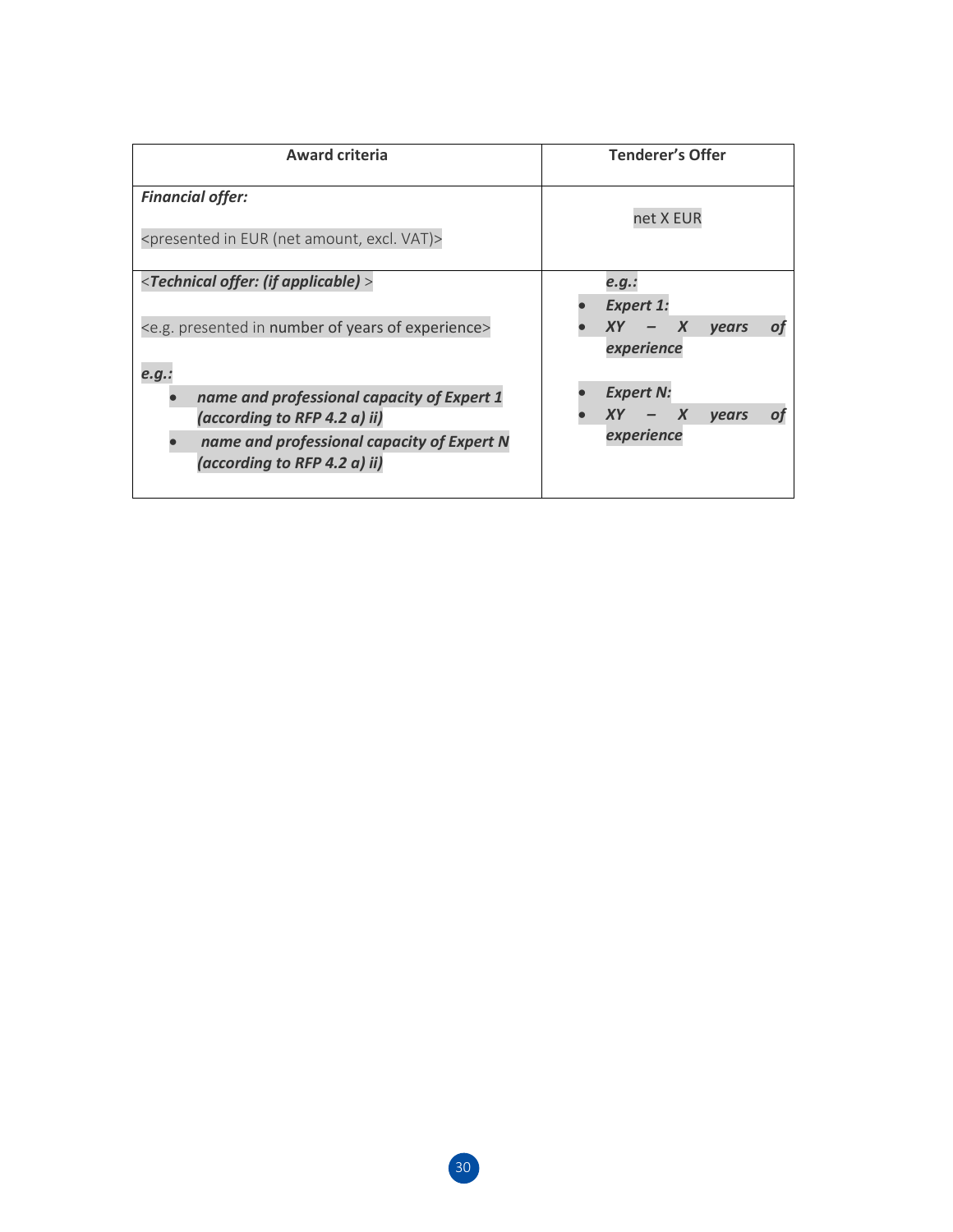| <b>Award criteria</b>                                                                               | <b>Tenderer's Offer</b><br>net X EUR                       |  |
|-----------------------------------------------------------------------------------------------------|------------------------------------------------------------|--|
| <b>Financial offer:</b><br><presented (net="" amount,="" eur="" excl.="" in="" vat)=""></presented> |                                                            |  |
| <technical (if="" applicable)="" offer:=""></technical>                                             | e.q.:<br><b>Expert 1:</b>                                  |  |
| <e.g. experience="" in="" number="" of="" presented="" years=""><br/>e.g.:</e.g.>                   | XY<br>$\boldsymbol{X}$<br><b>vears</b><br>O1<br>experience |  |
| name and professional capacity of Expert 1                                                          | <b>Expert N:</b>                                           |  |
| (according to RFP 4.2 a) ii)                                                                        | $\boldsymbol{X}$<br>XY<br><b>vears</b>                     |  |
| name and professional capacity of Expert N<br>(according to RFP 4.2 a) ii)                          | experience                                                 |  |